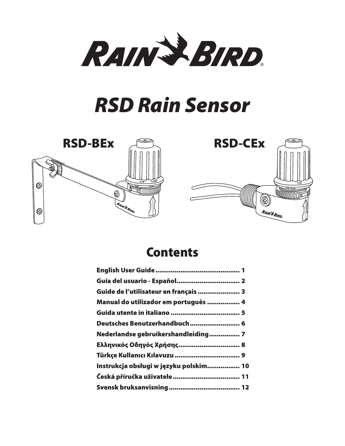

## *RSD Rain Sensor*





## Contents

| Guía del usuario - Español 2           |
|----------------------------------------|
| Guide de l'utilisateur en français  3  |
| Manual do utilizador em português  4   |
|                                        |
| Deutsches Benutzerhandbuch 6           |
| Nederlandse gebruikershandleiding 7    |
| Ελληνικός Οδηγός Χρήσης 8              |
|                                        |
| Instrukcja obsługi w języku polskim 10 |
|                                        |
|                                        |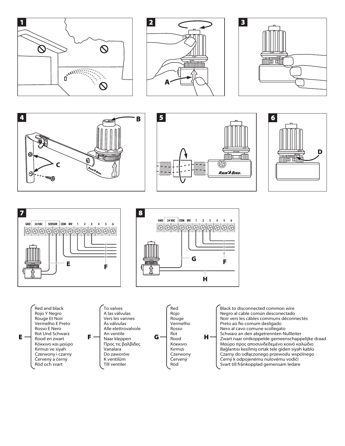















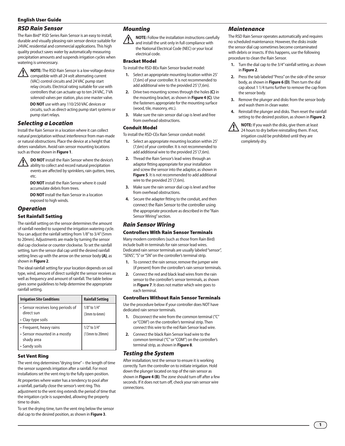#### English User Guide

#### *RSD Rain Sensor*

The Rain Bird® RSD Series Rain Sensor is an easy to install, durable and visually pleasing rain sensor device suitable for 24VAC residential and commercial applications. This high quality product saves water by automatically measuring precipitation amounts and suspends irrigation cycles when watering is unnecessary.



**1 NOTE:** The RSD Rain Sensor is a low-voltage device compatible with all 24 volt alternating current (VAC) control circuits and 24 VAC pump start relay circuits. Electrical rating suitable for use with controllers that can actuate up to ten 24 VAC, 7 VA

solenoid valves per station, plus one master valve. **DO NOT** use with any 110/250 VAC devices or circuits, such as direct-acting pump start systems or pump start relays.

#### *Selecting a Location*

Install the Rain Sensor in a location where it can collect natural precipitation without interference from man-made or natural obstructions. Place the device at a height that deters vandalism. Avoid rain sensor mounting locations such as those shown in **Figure 1**.



**DO NOT** install the Rain Sensor where the device's ability to collect and record natural precipitation events are affected by sprinklers, rain gutters, trees, etc.

**DO NOT** install the Rain Sensor where it could accumulate debris from trees.

**DO NOT** install the Rain Sensor in a location exposed to high winds.

#### *Operation*

#### Set Rainfall Setting

The rainfall setting on the sensor determines the amount of rainfall needed to suspend the irrigation watering cycle. You can adjust the rainfall setting from 1/8" to 3/4" (5mm to 20mm). Adjustments are made by turning the sensor dial cap clockwise or counter clockwise. To set the rainfall setting, turn the sensor dial cap until the desired rainfall setting lines up with the arrow on the sensor body **(A)**, as shown in **Figure 2**.

The ideal rainfall setting for your location depends on soil type, wind, amount of direct sunlight the sensor receives as well as frequency and amount of rainfall. The table below gives some guidelines to help determine the appropriate rainfall setting.

| <b>Irrigation Site Conditions</b>               | <b>Rainfall Setting</b>      |
|-------------------------------------------------|------------------------------|
| • Sensor receives long periods of<br>direct sun | 1/8" to 1/4"<br>(3mm to 6mm) |
| • Clay-type soils                               |                              |
| • Frequent, heavy rains                         | $1/2$ " to $3/4$ "           |
| • Sensor mounted in a mostly<br>shady area      | (13mm to 20mm)               |
| • Sandy soils                                   |                              |

#### Set Vent Ring

The vent ring determines "drying time" – the length of time the sensor suspends irrigation after a rainfall. For most installations set the vent ring to the fully open position. At properties where water has a tendency to pool after a rainfall, partially close the sensor's vent ring. This adjustment to the vent ring extends the period of time that the irrigation cycle is suspended, allowing the property time to drain.

To set the drying time, turn the vent ring below the sensor dial cap to the desired position, as shown in **Figure 3**.

## *Mounting*

**NOTE:** Follow the installation instructions carefully and install the unit only in full compliance with the National Electrical Code (NEC) or your local electrical code.

#### Bracket Model

To install the RSD-BEx Rain Sensor bracket model:

- **1.** Select an appropriate mounting location within 25' (7,6m) of your controller. It is not recommended to add additional wire to the provided 25' (7,6m).
- **2.** Drive two mounting screws through the holes **(C)** in the mounting bracket, as shown in **Figure 4 (C)**. Use the fasteners appropriate for the mounting surface (wood, tile, masonry, etc.).
- **3.** Make sure the rain sensor dial cap is level and free from overhead obstructions.

#### Conduit Model

To install the RSD-CEx Rain Sensor conduit model:

- **1.** Select an appropriate mounting location within 25' (7,6m) of your controller. It is not recommended to add additional wire to the provided 25' (7,6m).
- **2.** Thread the Rain Sensor's lead wires through an adaptor fitting appropriate for your installation and screw the sensor into the adaptor, as shown in **Figure 5**. It is not recommended to add additional wire to the provided 25' (7,6m).
- **3.** Make sure the rain sensor dial cap is level and free from overhead obstructions.
- **4.** Secure the adapter fitting to the conduit, and then connect the Rain Sensor to the controller using the appropriate procedure as described in the "Rain Sensor Wiring" section.

## *Rain Sensor Wiring*

#### Controllers With Rain Sensor Terminals

Many modern controllers (such as those from Rain Bird) include built-in terminals for rain sensor lead wires. Dedicated rain sensor terminals are usually labeled "sensor", "SENS", "S" or "SN" on the controller's terminal strip.

- **1.** To connect the rain sensor, remove the jumper wire (if present) from the controller's rain sensor terminals.
- **2.** Connect the red and black lead wires from the rain sensor to the controller's sensor terminals, as shown in **Figure 7**. It does not matter which wire goes to each terminal.

#### Controllers Without Rain Sensor Terminals

Use the procedure below if your controller does NOT have dedicated rain sensor terminals.

- **1.** Disconnect the wire from the common terminal ("C" or "COM") on the controller's terminal strip. Then connect this wire to the red Rain Sensor lead wire.
- **2.** Connect the black Rain Sensor lead wire to the common terminal ("C" or "COM") on the controller's terminal strip, as shown in **Figure 8**.

#### *Testing the System*

After installation; test the sensor to ensure it is working correctly. Turn the controller on to initiate irrigation. Hold down the plunger located on top of the rain sensor as shown in **Figure 4 (B)**. The zone should turn off after a few seconds. If it does not turn off, check your rain sensor wire connections.

#### *Maintenance*

The RSD Rain Sensor operates automatically and requires no scheduled maintenance. However, the disks inside the sensor dial cap sometimes become contaminated with debris or insects. If this happens, use the following procedure to clean the Rain Sensor.

- **1.** Turn the dial cap to the 3/4" rainfall setting, as shown in **Figure 2**.
- **2.** Press the tab labeled "Press" on the side of the sensor body, as shown in **Figure 6 (D)**. Then turn the dial cap about 1 1/4 turns further to remove the cap from the sensor body.
- **3.** Remove the plunger and disks from the sensor body and wash them in clean water.
- **4.** Reinstall the plunger and disks. Then reset the rainfall setting to the desired position, as shown in **Figure 2**.

**NOTE:** If you wash the disks, give them at least 24 hours to dry before reinstalling them. If not, irrigation could be prohibited until they are completely dry.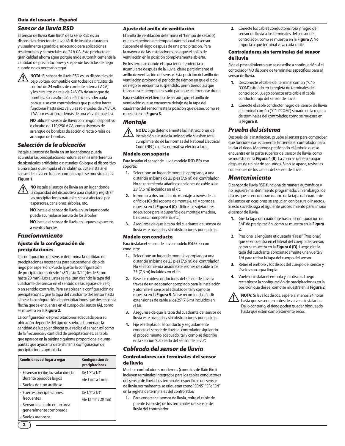#### Guía del usuario - Español

#### *Sensor de lluvia RSD*

El sensor de lluvia Rain Bird® de la serie RSD es un dispositivo detector de lluvia fácil de instalar, duradero y visualmente agradable, adecuado para aplicaciones residenciales y comerciales de 24 V CA. Este producto de gran calidad ahorra agua porque mide automáticamente la cantidad de precipitaciones y suspende los ciclos de riego cuando no es necesario regar.



**NOTA:** El sensor de lluvia RSD es un dispositivo de bajo voltaje, compatible con todos los circuitos de control de 24 voltios de corriente alterna (V CA) y los circuitos de relé de 24 V CA de arranque de bombas. Su clasificación eléctrica es adecuada para su uso con controladores que pueden hacer funcionar hasta diez válvulas solenoides de 24 V CA, 7 VA por estación, además de una válvula maestra.

> **NO** utilice el sensor de lluvia con ningún dispositivo o circuito de 110/250 V CA, como sistemas de arranque de bombas de acción directa o relés de arranque de bombas.

## *Selección de la ubicación*

Instale el sensor de lluvia en un lugar donde pueda acumular las precipitaciones naturales sin la interferencia de obstáculos artificiales o naturales. Coloque el dispositivo a una altura que impida el vandalismo. Evite instalar el sensor de lluvia en lugares como los que se muestran en la **Figura 1**.



**10 NO** instale el sensor de lluvia en un lugar donde<br>la capacidad del dispositivo para captar y registrar las precipitaciones naturales se vea afectada por aspersores, canalones, árboles, etc.

> **NO** instale el sensor de lluvia en un lugar donde pueda acumularse basura de los árboles.

**NO** instale el sensor de lluvia en lugares expuestos a vientos fuertes.

## *Funcionamiento*

#### Ajuste de la configuración de precipitaciones

La configuración del sensor determina la cantidad de precipitaciones necesarias para suspender el ciclo de riego por aspersión. Puede ajustar la configuración de precipitaciones desde 1/8" hasta 3/4" (desde 5 mm hasta 20 mm). Los ajustes se realizan girando la tapa del cuadrante del sensor en el sentido de las agujas del reloj o en sentido contrario. Para establecer la configuración de precipitaciones, gire la tapa del cuadrante del sensor hasta alinear la configuración de precipitaciones que desee con la flecha que se encuentra en el cuerpo del sensor **(A)**, como se muestra en la **Figura 2**.

La configuración de precipitaciones adecuada para su ubicación depende del tipo de suelo, la humedad, la cantidad de luz solar directa que reciba el sensor, así como de la frecuencia y cantidad de precipitaciones. La tabla que aparece en la página siguiente proporciona algunas pautas que ayudan a determinar la configuración de precipitaciones apropiada.

| Condiciones del lugar a regar                                   | Configuración de<br>precipitaciones  |
|-----------------------------------------------------------------|--------------------------------------|
| · El sensor recibe luz solar directa<br>durante períodos largos | De 1/8" a 1/4"<br>(de 3 mm a 6 mm)   |
| • Suelos de tipo arcilloso                                      |                                      |
| • Fuertes precipitaciones,<br>frecuentes                        | De 1/2" a 3/4"<br>(de 13 mm a 20 mm) |
| · Sensor instalado en un área<br>generalmente sombreada         |                                      |
| • Suelos arenosos                                               |                                      |

#### Ajuste del anillo de ventilación

El anillo de ventilación determina el "tiempo de secado", que es el período de tiempo durante el cual el sensor suspende el riego después de una precipitación. Para la mayoría de las instalaciones, coloque el anillo de ventilación en la posición completamente abierta.

En los terrenos donde el agua tenga tendencia a acumularse después de la lluvia, cierre parcialmente el anillo de ventilación del sensor. Esta posición del anillo de ventilación prolonga el período de tiempo en que el ciclo de riego se encuentra suspendido, permitiendo así que transcurra el tiempo necesario para que el terreno se drene. Para establecer el tiempo de secado, gire el anillo de ventilación que se encuentra debajo de la tapa del cuadrante del sensor hasta la posición que desee, como se muestra en la **Figura 3**.

## *Montaje*



!**NOTA:** Siga detenidamente las instrucciones de instalación e instale la unidad sólo si existe total cumplimiento de las normas del National Electrical Code (NEC) o de la normativa eléctrica local.

#### Modelo con soporte

Para instalar el sensor de lluvia modelo RSD-BEx con soporte:

- **1.** Seleccione un lugar de montaje apropiado, a una distancia máxima de 25 pies (7,6 m) del controlador. No se recomienda añadir extensiones de cable a los 25' (7,6 m) incluidos en el kit.
- **2.** Introduzca dos tornillos de montaje a través de los orificios **(C)** del soporte de montaje, tal y como se muestra en la **Figura 4 (C)**. Utilice los sujetadores adecuados para la superficie de montaje (madera, baldosas, mampostería, etc.)
- **3.** Asegúrese de que la tapa del cuadrante del sensor de lluvia esté nivelada y sin obstrucciones por encima.

#### Modelo con conducto

Para instalar el sensor de lluvia modelo RSD-CEx con conducto:

- **1.** Seleccione un lugar de montaje apropiado, a una distancia máxima de 25 pies (7,6 m) del controlador. No se recomienda añadir extensiones de cable a los 25' (7,6 m) incluidos en el kit.
- **2.** Pase los cables conductores del sensor de lluvia a través de un adaptador apropiado para la instalación y atornille el sensor al adaptador, tal y como se muestra en la **Figura 5**. No se recomienda añadir extensiones de cable a los 25' (7,6 m) incluidos en el kit.
- **3.** Asegúrese de que la tapa del cuadrante del sensor de lluvia esté nivelada y sin obstrucciones por encima.
- **4.** Fije el adaptador al conducto y seguidamente conecte el sensor de lluvia al controlador siguiendo el procedimiento adecuado, tal y como se describe en la sección "Cableado del sensor de lluvia".

#### *Cableado del sensor de lluvia*

#### Controladores con terminales del sensor de lluvia

Muchos controladores modernos (como los de Rain Bird) incluyen terminales integrados para los cables conductores del sensor de lluvia. Los terminales específicos del sensor de lluvia normalmente se etiquetan como "SENS", "S" o "SN" en la regleta de terminales del controlador.

**1.** Para conectar el sensor de lluvia, retire el cable de puente (si existe) de los terminales del sensor de lluvia del controlador.

**2.** Conecte los cables conductores rojo y negro del sensor de lluvia a los terminales del sensor del controlador, como se muestra en la **Figura 7**. No importa a qué terminal vaya cada cable.

#### Controladores sin terminales del sensor de lluvia

Siga el procedimiento que se describe a continuación si el controlador NO dispone de terminales específicos para el sensor de lluvia.

- **1.** Desconecte el cable del terminal común ("C" o "COM") situado en la regleta de terminales del controlador. Luego conecte este cable al cable conductor rojo del sensor de lluvia.
- **2.** Conecte el cable conductor negro del sensor de lluvia al terminal común ("C" o "COM") situado en la regleta de terminales del controlador, como se muestra en la **Figura 8**.

#### *Prueba del sistema*

Después de la instalación, pruebe el sensor para comprobar que funcione correctamente. Encienda el controlador para iniciar el riego. Mantenga presionado el émbolo que se encuentra en la parte superior del sensor de lluvia, como se muestra en la **Figura 4 (B)**. La zona se deberá apagar después de un par de segundos. Si no se apaga, revise las conexiones de los cables del sensor de lluvia.

#### *Mantenimiento*

El sensor de lluvia RSD funciona de manera automática y no requiere mantenimiento programado. Sin embargo, los discos que se encuentran dentro de la tapa del cuadrante del sensor en ocasiones se ensucian con basura o insectos. Si esto sucede, siga el siguiente procedimiento para limpiar el sensor de lluvia.

- **1.** Gire la tapa del cuadrante hasta la configuración de 3/4" de precipitación, como se muestra en la **Figura 2**.
- **2.** Presione la lengüeta etiquetada "Press" (Presionar) que se encuentra en el lateral del cuerpo del sensor, como se muestra en la **Figura 6 (D)**. Luego gire la tapa del cuadrante aproximadamente una vuelta y 1/4 para retirar la tapa del cuerpo del sensor.
- **3.** Retire el émbolo y los discos del cuerpo del sensor y lávelos con agua limpia.
- **4.** Vuelva a instalar el émbolo y los discos. Luego restablezca la configuración de precipitaciones en la posición que desee, como se muestra en la **Figura 2**.
- **NOTA:** Si lava los discos, espere al menos 24 horas hasta que se sequen antes de volver a instalarlos. De lo contrario, el riego podría quedar bloqueado hasta que estén completamente secos.

2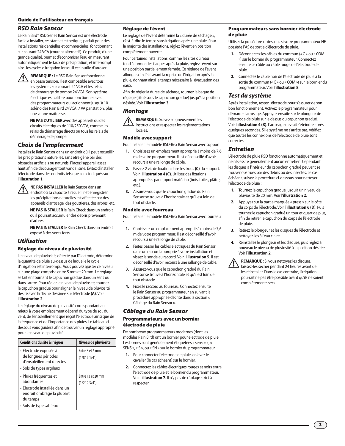#### Guide de l'utilisateur en français

#### *RSD Rain Sensor*

Le Rain Bird® RSD Series Rain Sensor est une électrode facile à installer, résistant et esthétique, parfait pour des installations résidentielles et commerciales, fonctionnant sur courant 24 VCA (courant alternatif). Ce produit, d'une grande qualité, permet d'économiser l'eau en mesurant automatiquement le taux de précipitation, et interrompt ainsi les cycles d'irrigation lorsqu'il est inutile d'arroser.



**ALIEMARQUE :** Le RSD Rain Sensor fonctionne<br>
en basse tension. Il est compatible avec tous les systèmes sur courant 24 VCA et les relais de démarrage de pompe 24 VCA. Son système électrique est calibré pour fonctionner avec des programmateurs qui actionnent jusqu'à 10 solénoïdes Rain Bird 24 VCA, 7 VA par station, plus une vanne maîtresse.

> **NE PAS L'UTILISER** avec des appareils ou des circuits électriques de 110/250 VCA, comme les relais de démarrage directs ou tous les relais de démarrage de pompe.

## *Choix de l'emplacement*

Installez le Rain Sensor dans un endroit où il peut recueillir les précipitations naturelles, sans être gêné par des obstacles artificiels ou naturels. Placez l'appareil assez haut afin de décourager tout vandalisme. Évitez d'installer l'électrode dans des endroits tels que ceux indiqués sur l'**illustration 1**.



!**NE PAS INSTALLER** le Rain Sensor dans un endroit où sa capacité à recueillir et enregistrer les précipitations naturelles est affectée par des appareils d'arrosage, des gouttières, des arbres, etc.

**NE PAS INSTALLER** le Rain Check dans un endroit où il pourrait accumuler des débris provenant d'arbres.

**NE PAS INSTALLER** le Rain Check dans un endroit exposé à des vents forts.

#### *Utilisation*

#### Réglage du niveau de pluviosité

Le niveau de pluviosité, détecté par l'électrode, détermine la quantité de pluie au-dessus de laquelle le cycle d'irrigation est interrompu. Vous pouvez ajuster ce niveau sur une plage comprise entre 5 mm et 20 mm. Le réglage se fait en tournant le capuchon gradué dans un sens ou dans l'autre. Pour régler le niveau de pluviosité, tournez le capuchon gradué pour aligner le niveau de pluviosité désiré avec la flèche dessinée sur l'électrode **(A)**. Voir l'**illustration 2**.

Le réglage du niveau de pluviosité correspondant au mieux à votre emplacement dépend du type de sol, du vent, de l'ensoleillement que reçoit l'électrode ainsi que de la fréquence et de l'importance des pluies. Le tableau cidessous vous guidera afin de trouver un réglage approprié pour le niveau de pluviosité.

| Conditions du site à irriquer                                             | Niveau de pluviosité                    |
|---------------------------------------------------------------------------|-----------------------------------------|
| • Électrode exposée à<br>de longues périodes<br>d'ensoleillement directes | Entre 3 et 6 mm<br>$(1/8"$ à $1/4"$ )   |
| • Sols de types argileux                                                  |                                         |
| • Pluies fréquentes et<br>abondantes                                      | Entre 13 et 20 mm<br>$(1/2"$ à $3/4"$ ) |
| · Électrode installée dans un<br>endroit ombragé la plupart<br>du temps   |                                         |
| • Sols de type sableux                                                    |                                         |

#### Réglage de l'évent

Le réglage de l'évent détermine la « durée de séchage », c'est-à-dire le temps sans irrigation après une pluie. Pour la majorité des installations, réglez l'évent en position complètement ouverte.

Pour certaines installations, comme les sites où l'eau tend à former des flaques après la pluie, réglez l'évent sur une position partiellement fermée. Ce réglage de l'évent allongera le délai avant la reprise de l'irrigation après la pluie, donnant ainsi le temps nécessaire à l'évacuation des eaux.

Afin de régler la durée de séchage, tournez la bague de réglage (situé sous le capuchon gradué) jusqu'à la position désirée. Voir l'**illustration 3**.

#### *Montage*

!**REMARQUE :** Suivez soigneusement les instructions et respectez les réglementations locales.

#### Modèle avec support

Pour installer le modèle RSD-Bex Rain Sensor avec support :

- **1.** Choisissez un emplacement approprié à moins de 7,6 m de votre programmeur. Il est déconseillé d'avoir recours à une rallonge de câble.
- **2.** Passez 2 vis de fixation dans les trous **(C)** du support. Voir l'**illustration 4 (C)**. Utilisez des fixations appropriées par rapport matériau (bois, tuiles, plâtre, etc.).
- **3.** Assurez-vous que le capuchon gradué du Rain Sensor se trouve à l'horizontale et qu'il est loin de tout obstacle.

#### Modèle avec fourreau

Pour installer le modèle RSD-Bex Rain Sensor avec fourreau :

- **1.** Choisissez un emplacement approprié à moins de 7,6 m de votre programmeur. Il est déconseillé d'avoir recours à une rallonge de câble.
- **2.** Faites passer les câbles électriques du Rain Sensor dans un raccord approprié à votre installation et vissez la sonde au raccord. Voir l'**illustration 5**. Il est déconseillé d'avoir recours à une rallonge de câble.
- **3.** Assurez-vous que le capuchon gradué du Rain Sensor se trouve à l'horizontale et qu'il est loin de tout obstacle.
- **4.** Fixez le raccord au fourreau. Connectez ensuite le Rain Sensor au programmateur en suivant la procédure appropriée décrite dans la section « Câblage du Rain Sensor ».

#### *Câblage du Rain Sensor*

#### Programmateurs avec un bornier électrode de pluie

De nombreux programmateurs modernes (dont les modèles Rain Bird) ont un bornier pour électrode de pluie. Les bornes sont généralement étiquetées « sensor », « SENS », « S », ou « SN » sur le bornier du programmateur.

- **1.** Pour connecter l'électrode de pluie, enlevez le cavalier (le cas échéant) sur le bornier.
- **2.** Connectez les câbles électriques rouges et noirs entre l'électrode de pluie et le bornier du programmateur. Voir l'**illustration 7**. Il n'y pas de câblage strict à respecter.

#### Programmateurs sans bornier électrode de pluie

Utilisez la procédure ci-dessous si votre programmateur NE possède PAS de sortie d'électrode de pluie.

- **1.** Déconnectez les câbles du commun (« C » ou « COM ») sur le bornier du programmateur. Connectez ensuite ce câble au câble rouge de l'électrode de pluie.
- **2.** Connectez le câble noir de l'électrode de pluie à la sortie du commun (« C » ou « COM ») sur le bornier du programmateur. Voir l'**illustration 8**.

#### *Test du système*

Après installation, testez l'électrode pour s'assurer de son bon fonctionnement. Activez le programmateur pour démarrer l'arrosage. Appuyez ensuite sur le plongeur de l'électrode de pluie sur le dessus du capuchon gradué. Voir l'**illustration 4 (B)**. L'arrosage devrait s'éteindre après quelques secondes. Si le système ne s'arrête pas, vérifiez que toutes les connexions de l'électrode de pluie sont correctes.

#### *Entretien*

L'électrode de pluie RSD fonctionne automatiquement et ne nécessite généralement aucun entretien. Cependant les disques à l'intérieur du capuchon gradué peuvent se trouver obstrués par des débris ou des insectes. Le cas échéant, suivez la procédure ci-dessous pour nettoyer l'électrode de pluie :

- **1.** Tournez le capuchon gradué jusqu'à un niveau de pluviosité de 20 mm. Voir l'**illustration 2**.
- **2.** Appuyez sur la partie marquée « press » sur le côté du corps de l'électrode. Voir l'**illustration 6 (D)**. Puis tournez le capuchon gradué un tour et quart de plus, afin de retirer le capuchon du corps de l'électrode de pluie.
- **3.** Retirez le plongeur et les disques de l'électrode et nettoyez-les à l'eau claire.
- **4.** Réinstallez le plongeur et les disques, puis réglez à nouveau le niveau de pluviosité à la position désirée. Voir l'**illustration 2**.



**Algemie :** Si vous nettoyez les disques,<br>laissez-les sécher pendant 24 heures avant de les réinstaller. Dans le cas contraire, l'irrigation pourrait ne pas être possible avant qu'ils ne soient complètements secs.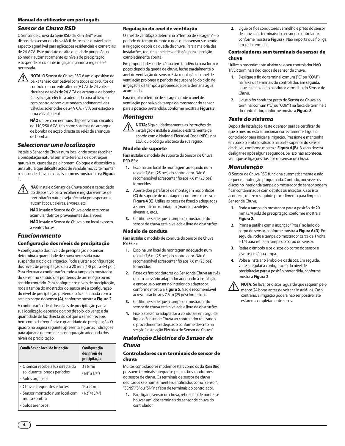#### Manual do utilizador em português

#### *Sensor de Chuva RSD*

O Sensor de Chuva da Série RSD da Rain Bird® é um dispositivo sensor de chuva fácil de instalar, durável e de aspecto agradável para aplicações residenciais e comerciais de 24 V CA. Este produto de alta qualidade poupa água ao medir automaticamente os níveis de precipitação e suspende os ciclos de irrigação quando a rega não é necessária.

**1 NOTA:** O Sensor de Chuva RSD é um dispositivo de baixa tensão compatível com todos os circuitos de controlo de corrente alterna (V CA) de 24 volts e circuitos de relés de 24 V CA de arranque de bomba. Classificação eléctrica adequada para utilização com controladores que podem accionar até dez válvulas solenóides de 24 V CA, 7 V A por estação e uma válvula geral.

> **NÃO** utilize com nenhuns dispositivos ou circuitos de 110/250 V CA, tais como sistemas de arranque de bomba de acção directa ou relés de arranque de bomba.

## *Seleccionar uma localização*

Instale o Sensor de Chuva num local onde possa recolher a precipitação natural sem interferência de obstruções naturais ou causadas pelo homem. Coloque o dispositivo a uma altura que dificulte actos de vandalismo. Evite montar o sensor de chuva em locais como os mostrados na **Figura 1**.



!**NÃO** instale o Sensor de Chuva onde a capacidade do dispositivo para recolher e registar eventos de precipitação natural seja afectada por aspersores automáticos, caleiras, árvores, etc.

**NÃO** instale o Sensor de Chuva onde este possa acumular detritos provenientes das árvores. **NÃO** instale o Sensor de Chuva num local exposto a ventos fortes.

## *Funcionamento*

#### Configuração dos níveis de precipitação

A configuração dos níveis de precipitação no sensor determina a quantidade de chuva necessária para suspender o ciclo de irrigação. Pode ajustar a configuração dos níveis de precipitação de 5 a 20 mm (1/8 pol. a 3/4 pol.). Para efectuar a configuração, rode a tampa do mostrador do sensor no sentido dos ponteiros de um relógio ou no sentido contrário. Para configurar os níveis de precipitação, rode a tampa do mostrador do sensor até a configuração do nível de precipitação pretendido ficar alinhada com a seta no corpo do sensor **(A)**, conforme mostra a **Figura 2**. A configuração ideal dos níveis de precipitação para a sua localização depende do tipo de solo, do vento e da quantidade de luz directa do sol que o sensor recebe, bem como da frequência e quantidade de precipitação. O quadro na página seguinte apresenta algumas indicações para ajudar a determinar a configuração adequada dos níveis de precipitação.

| Condições do local de irrigação                                                                    | Configuração<br>dos níveis de<br>precipitação |
|----------------------------------------------------------------------------------------------------|-----------------------------------------------|
| • O sensor recebe a luz directa do<br>sol durante longos períodos<br>• Solos argilosos             | 3a6mm<br>(1/8" a 1/4")                        |
| • Chuvas frequentes e fortes<br>· Sensor montado num local com<br>muita sombra<br>• Solos arenosos | 13 a 20 mm<br>$(1/2"$ to $3/4")$              |

#### Regulação do anel de ventilação

O anel de ventilação determina o "tempo de secagem" – o período de tempo durante o qual que o sensor suspende a irrigação depois da queda de chuva. Para a maioria das instalações, regule o anel de ventilação para a posição completamente aberta.

Em propriedades onde a água tem tendência para formar poças depois da queda de chuva, feche parcialmente o anel de ventilação do sensor. Esta regulação do anel de ventilação prolonga o período de suspensão do ciclo de irrigação e dá tempo à propriedade para drenar a água acumulada.

Para regular o tempo de secagem, rode o anel de ventilação por baixo da tampa do mostrador do sensor para a posição pretendida, conforme mostra a **Figura 3**.

#### *Montagem*

**1 NOTA:** Siga cuidadosamente as instruções de instalação e instale a unidade estritamente de acordo com o National Electrical Code (NEC), nos EUA, ou o código eléctrico da sua região.

#### Modelo de suporte

Para instalar o modelo de suporte do Sensor de Chuva RSD-BEx:

- **1.** Escolha um local de montagem adequado num raio de 7,6 m (25 pés) do controlador. Não é recomendável acrescentar fio aos 7,6 m (25 pés) fornecidos.
- **2.** Aperte dois parafusos de montagem nos orifícios **(C)** do suporte de montagem, conforme mostra a **Figura 4 (C)**. Utilize as peças de fixação adequadas à superfície de montagem (madeira, azulejos, alvenaria, etc.).
- **3.** Certifique-se de que a tampa do mostrador do sensor de chuva está nivelada e livre de obstruções.

#### Modelo de conduta

Para instalar o modelo de conduta do Sensor de Chuva RSD-CEx:

- **1.** Escolha um local de montagem adequado num raio de 7,6 m (25 pés) do controlador. Não é recomendável acrescentar fio aos 7,6 m (25 pés) fornecidos.
- **2.** Passe os fios condutores do Sensor de Chuva através de um acessório adaptador adequado à instalação e enrosque o sensor no interior do adaptador, conforme mostra a **Figura 5**. Não é recomendável acrescentar fio aos 7,6 m (25 pés) fornecidos.
- **3.** Certifique-se de que a tampa do mostrador do sensor de chuva está nivelada e livre de obstruções.
- **4.** Fixe o acessório adaptador à conduta e em seguida ligue o Sensor de Chuva ao controlador utilizando o procedimento adequado conforme descrito na secção "Instalação Eléctrica do Sensor de Chuva".

## *Instalação Eléctrica do Sensor de Chuva*

#### Controladores com terminais de sensor de chuva

Muitos controladores modernos (tais como os da Rain Bird) possuem terminais integrados para os fios condutores do sensor de chuva. Os terminais de sensor de chuva dedicados são normalmente identificados como "sensor", "SENS", "S" ou "SN" na faixa de terminais do controlador.

**1.** Para ligar o sensor de chuva, retire o fio de ponte (se houver um) dos terminais do sensor de chuva do controlador.

**2.** Ligue os fios condutores vermelho e preto do sensor de chuva aos terminais do sensor do controlador, conforme mostra a **Figura7**. Não importa que fio liga em cada terminal.

#### Controladores sem terminais de sensor de chuva

Utilize o procedimento abaixo se o seu controlador NÃO TIVER terminais dedicados de sensor de chuva.

- **1.** Desligue o fio do terminal comum ("C" ou "COM") na faixa de terminais do controlador. Em seguida, ligue este fio ao fio condutor vermelho do Sensor de Chuva.
- **2.** Ligue o fio condutor preto do Sensor de Chuva ao terminal comum ("C" ou "COM") na faixa de terminais do controlador, conforme mostra a **Figura 8**.

#### *Teste do sistema*

Depois da instalação, teste o sensor para se certificar de que o mesmo está a funcionar correctamente. Ligue o controlador para iniciar a irrigação. Pressione e mantenha em baixo o êmbolo situado na parte superior do sensor de chuva, conforme mostra a **Figura 4 (B)**. A zona deverá desligar-se após alguns segundos. Se isso não acontecer, verifique as ligações dos fios do sensor de chuva.

#### *Manutenção*

O Sensor de Chuva RSD funciona automaticamente e não requer manutenção programada. Contudo, por vezes os discos no interior da tampa do mostrador do sensor podem ficar contaminados com detritos ou insectos. Caso isto aconteça, utilize o seguinte procedimento para limpar o Sensor de Chuva.

- **1.** Rode a tampa do mostrador para a posição de 20 mm (3/4 pol.) de precipitação, conforme mostra a **Figura 2**.
- **2.** Prima a patilha com a inscrição "Press" no lado do corpo do sensor, conforme mostra a **Figura 6 (D)**. Em seguida, rode a tampa do mostrador cerca de 1 volta e 1/4 para retirar a tampa do corpo do sensor.
- **3.** Retire o êmbolo e os discos do corpo do sensor e lave-os em água limpa.
- **4.** Volte a instalar o êmbolo e os discos. Em seguida, volte a regular a configuração do nível de precipitação para a posição pretendida, conforme mostra a **Figura 2**.

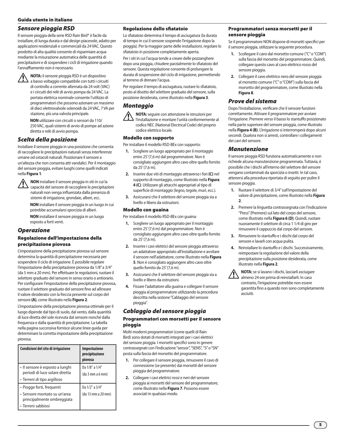## *Sensore pioggia RSD*

Il sensore pioggia della serie RSD Rain Bird® è facile da installare, di lunga durata e dal design piacevole, adatto per applicazioni residenziali e commerciali da 24 VAC. Questo prodotto di alta qualità consente di risparmiare acqua mediante la misurazione automatica delle quantità di precipitazioni e di sospendere i cicli di irrigazione quando l'annaffiamento non è necessario.

**1 NOTA:** il sensore pioggia RSD è un dispositivo<br>a basso voltaggio compatibile con tutti i circuiti di controllo a corrente alternata da 24 volt (VAC) e i circuiti dei relè di avvio pompa da 24 VAC. La portata elettrica nominale consente l'utilizzo di programmatori che possono azionare un massimo di dieci elettrovalvole solenoidi da 24 VAC, 7 VA per stazione, più una valvola principale.

> **NON** utilizzare con circuiti o sensori da 110/ 250 VAC, quali sistemi di avvio di pompe ad azione diretta o relè di avvio pompa.

## *Scelta della posizione*

Installare il sensore pioggia in una posizione che consenta di raccogliere le precipitazioni naturali senza interferenze umane od ostacoli naturali. Posizionare il sensore a un'altezza che non consenta atti vandalici. Per il montaggio del sensore pioggia, evitare luoghi come quelli indicati nella **Figura 1**.



**1 NON** installare il sensore pioggia in siti in cui la<br>capacità del sensore di raccogliere le precipitazioni naturali non venga influenzata dalla presenza di sistemi di irrigazione, grondaie, alberi, ecc.

> **NON** installare il sensore pioggia in un luogo in cui potrebbe accumularsi sporcizia di alberi.

**NON** installare il sensore pioggia in un luogo esposto a forti venti.

#### *Operazione*

#### Regolazione dell'impostazione della precipitazione piovosa

L'impostazione della precipitazione piovosa sul sensore determina la quantità di precipitazione necessaria per sospendere il ciclo di irrigazione. È possibile regolare l'impostazione della precipitazione piovosa da 1/8" a 3/4" (da 5 mm a 20 mm). Per effettuare le regolazioni, ruotare il selettore graduato del sensore in senso orario o antiorario. Per configurare l'impostazione della precipitazione piovosa, ruotare il selettore graduato del sensore fino ad allineare il valore desiderato con la freccia presente sul corpo del sensore **(A)**, come illustrato nella **Figura 2**.

L'impostazione della precipitazione piovosa ottimale per il luogo dipende dal tipo di suolo, dal vento, dalla quantità di luce diretta del sole ricevuta dal sensore nonché dalla frequenza e dalla quantità di precipitazione. La tabella nella pagina successiva fornisce alcune linee guida per determinare la corretta impostazione della precipitazione piovosa.

| <b>Impostazione</b><br>precipitazione<br>piovosa |
|--------------------------------------------------|
| Da 1/8" a 1/4"<br>(da 3 mm a 6 mm)               |
| Da 1/2" a 3/4"<br>(da 13 mm a 20 mm)             |
|                                                  |

#### Regolazione dello sfiatatoio

Lo sfiatatoio determina il tempo di asciugatura (la durata di tempo in cui il sensore sospende l'irrigazione dopo la pioggia). Per la maggior parte delle installazioni, regolare lo sfiatatoio in posizione completamente aperta.

Per i siti in cui l'acqua tende a creare delle pozzanghere dopo una pioggia, chiudere parzialmente lo sfiatatoio del sensore. Questa regolazione consente di prolungare la durata di sospensione del ciclo di irrigazione, permettendo al terreno di drenare l'acqua.

Per regolare il tempo di asciugatura, ruotare lo sfiatatoio, posto al disotto del selettore graduato del sensore, sulla posizione desiderata, come illustrato nella **Figura 3**.

#### *Montaggio*



!**NOTA:** seguire con attenzione le istruzioni per l'installazione e montare l'unità conformemente al codice NEC (National Electrical Code) del proprio codice elettrico locale.

#### Modello con supporto

Per installare il modello RSD-BEx con supporto:

- **1.** Scegliere un luogo appropriato per il montaggio entro 25' (7,6 m) dal programmatore. Non è consigliato aggiungere altro cavo oltre quello fornito da 25' (7,6 m).
- **2.** Inserire due viti di montaggio attraverso i fori **(C)** nel supporto di montaggio, come illustrato nella **Figura 4 (C)**. Utilizzare gli attacchi appropriati al tipo di superficie di montaggio (legno, tegole, muri, ecc.).
- **3.** Assicurarsi che il selettore del sensore pioggia sia a livello e libero da ostruzioni.

#### Modello con guaina

Per installare il modello RSD-BEx con guaina:

- **1.** Scegliere un luogo appropriato per il montaggio entro 25' (7,6 m) dal programmatore. Non è consigliato aggiungere altro cavo oltre quello fornito da 25' (7,6 m).
- **2.** Inserire i cavi elettrici del sensore pioggia attraverso un adattatore appropriato all'installazione e avvitare il sensore nell'adattatore, come illustrato nella **Figura 5**. Non è consigliato aggiungere altro cavo oltre quello fornito da 25' (7,6 m).
- **3.** Assicurarsi che il selettore del sensore pioggia sia a livello e libero da ostruzioni.
- **4.** Fissare l'adattatore alla guaina e collegare il sensore pioggia al programmatore utilizzando la procedura descritta nella sezione "Cablaggio del sensore pioggia".

## *Cablaggio del sensore pioggia*

#### Programmatori con morsetti per il sensore pioggia

Molti moderni programmatori (come quelli di Rain Bird) sono dotati di morsetti integrati per i cavi elettrici del sensore pioggia. I morsetti specifici sono in genere contrassegnati con l'indicazione "sensor", "SENS", "S" o "SN" posta sulla fascia del morsetto del programmatore.

- **1.** Per collegare il sensore pioggia, rimuovere il cavo di connessione (se presente) dai morsetti del sensore pioggia del programmatore.
- **2.** Collegare i cavi elettrici rossi e neri del sensore pioggia ai morsetti del sensore del programmatore, come illustrato nella **Figura 7**. Possono essere associati in qualsiasi modo.

#### Programmatori senza morsetti per il sensore pioggia

Se il programmatore NON dispone di morsetti specifici per il sensore pioggia, utilizzare la seguente procedura.

- **1.** Scollegare il cavo dal morsetto comune ("C" o "COM") sulla fascia del morsetto del programmatore. Quindi, collegare questo cavo al cavo elettrico rosso del sensore pioggia.
- **2.** Collegare il cavo elettrico nero del sensore pioggia al morsetto comune ("C" o "COM") sulla fascia del morsetto del programmatore, come illustrato nella **Figura 8**.

#### *Prove del sistema*

Dopo l'installazione, verificare che il sensore funzioni correttamente. Attivare il programmatore per avviare l'irrigazione. Premere verso il basso lo stantuffo posizionato nella parte superiore del sensore pioggia, come illustrato nella **Figura 4 (B)**. L'irrigazione si interromperà dopo alcuni secondi. Qualora non si arresti, controllare i collegamenti dei cavi del sensore.

#### *Manutenzione*

Il sensore pioggia RSD funziona automaticamente e non richiede alcuna manutenzione programmata. Tuttavia, è possibile che i dischi all'interno del selettore del sensore vengano contaminati da sporcizia o insetti. In tal caso, attenersi alla procedura riportata di seguito per pulire il sensore pioggia.

- **1.** Ruotare il selettore di 3/4" sull'impostazione del valore di precipitazione, come illustrato nella **Figura 2**.
- **2.** Premere la linguetta contrassegnata con l'indicazione "Press" (Premere) sul lato del corpo del sensore, come illustrato nella **Figura 6 (D)**. Quindi, ruotare nuovamente il selettore di circa 1 1/4 di giro per rimuovere il cappuccio dal corpo del sensore.
- **3.** Rimuovere lo stantuffo e i dischi dal corpo del sensore e lavarli con acqua pulita.
- **4.** Reinstallare lo stantuffo e i dischi. Successivamente, reimpostare la regolazione del valore della precipitazione sulla posizione desiderata, come illustrato nella **Figura 2**.



!**NOTA:** se si lavano i dischi, lasciarli asciugare almeno 24 ore prima di reinstallarli. In caso contrario, l'irrigazione potrebbe non essere garantita fino a quando non sono completamente asciutti.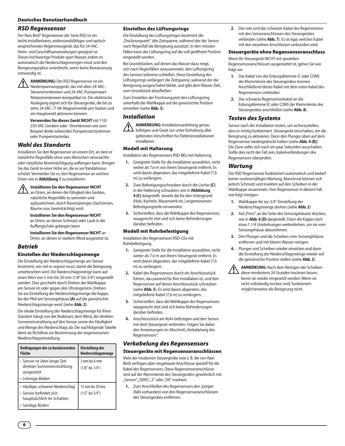#### Deutsches Benutzerhandbuch

#### *RSD Regensensor*

Der Rain Bird® Regensensor der Serie RSD ist ein leicht installierbares, widerstandsfähiges und optisch ansprechendes Regenmessgerät, das für 24-VAC-Heim- und Geschäftsanwendungen geeignet ist. Dieses hochwertige Produkt spart Wasser, indem es automatisch die Niederschlagsmengen misst und den Beregnungszyklus unterbricht, wenn keine Bewässerung notwendig ist.

**ANMERKUNG:** Der RSD Regensensor ist ein<br>Niederspannungsgerät, das mit allen 24-VAC-Steuerstromkreisen und 24-VAC-Pumpenstart-Relaisstromkreisen kompatibel ist. Die elektrische Auslegung eignet sich für Steuergeräte, die bis zu zehn 24-VAC-/7-VA-Magnetventile pro Station und ein Hauptventil aktivieren können.

> **Verwenden Sie dieses Gerät NICHT** mit 110/ 250-VAC-Geräten oder -Stromkreisen wie zum Beispiel direkt wirkenden Pumpenstartsystemen oder Pumpenstartrelais.

#### *Wahl des Standorts*

Installieren Sie den Regensensor an einem Ort, an dem er natürliche Regenfälle ohne vom Menschen verursachte oder natürliche Beeinträchtigung auffangen kann. Bringen Sie das Gerät in einer Höhe an, die es vor Vandalismus schützt. Vermeiden Sie es, den Regensensor an solchen Orten wie in **Abbildung 1** zu installieren.

#### !**Installieren Sie den Regensensor NICHT**

an Orten, an denen die Fähigkeit des Gerätes, natürliche Regenfälle zu sammeln und aufzuzeichnen, durch Rasensprenger, Dachrinnen, Bäume usw. beeinträchtigt wird.

**Installieren Sie den Regensensor NICHT** an Orten, an denen Schmutz oder Laub in die Auffangschale gelangen kann.

**Installieren Sie den Regensensor NICHT** an Orten, an denen er starkem Wind ausgesetzt ist.

#### *Betrieb*

#### Einstellen der Niederschlagsmenge

Die Einstellung der Niederschlagsmenge am Sensor bestimmt, wie viel es regnen muss, damit die Beregnung unterbrochen wird. Die Niederschlagsmenge kann auf einen Wert von 5 mm bis 20 mm (1/8" bis 3/4") eingestellt werden. Dies geschieht durch Drehen der Wahlkappe am Sensor im oder gegen den Uhrzeigersinn. Drehen Sie zur Einstellung der Niederschlagsmenge die Kappe, bis der Pfeil am Sensorgehäuse **(A)** auf die gewünschte Niederschlagsmenge weist (siehe **Abb. 2**).

Die ideale Einstellung der Niederschlagsmenge für Ihren Standort hängt von der Bodenart, dem Wind, der direkten Sonneneinstrahlung auf den Sensor sowie der Häufigkeit und Menge des Niederschlags ab. Die nachfolgende Tabelle dient als Richtlinie zur Bestimmung der angemessenen Niederschlagseinstellung.

| Bedingungen der zu bewässernden<br>Fläche                                                | Einstellung der<br>Niederschlagsmenge   |
|------------------------------------------------------------------------------------------|-----------------------------------------|
| • Sensor ist über lange Zeit<br>direkter Sonneneinstrahlung<br>ausgesetzt                | 3 mm bis 6 mm<br>$(1/8"$ bis $1/4"$ )   |
| • Lehmige Böden                                                                          |                                         |
| • Häufiger, schwerer Niederschlag<br>· Sensor befindet sich<br>hauptsächlich im Schatten | 13 mm bis 20 mm<br>$(1/2"$ bis $3/4"$ ) |
| • Sandige Böden                                                                          |                                         |

#### Einstellen des Lüftungsrings

Die Einstellung des Lüftungsringes bestimmt die "Trocknungszeit" (die Zeitspanne, während der der Sensor nach Regenfall die Beregnung aussetzt). In den meisten Fällen kann der Lüftungsring auf die voll geöffnete Position eingestellt werden.

Bei Grundstücken, auf denen das Wasser dazu neigt, sich nach Regenfällen anzusammeln, den Lüftungsring des Sensors teilweise schließen. Diese Einstellung des Lüftungsrings verlängert die Zeitspanne, während der die Beregnung ausgeschaltet bleibt, und gibt dem Wasser Zeit, vom Grundstück abzufließen.

Zum Einstellen der Trocknungszeit den Lüftungsring unterhalb der Wahlkappe auf die gewünschte Position einstellen (siehe **Abb. 3**).

#### *Installation*

**ANMERKUNG:** Installationsanleitung genau befolgen und Gerät nur unter Einhaltung aller geltenden Vorschriften für Elektroinstallationen installieren.

#### Modell mit Halterung

Installation des Regensensors RSD-BEx mit Halterung:

- **1.** Geeignete Stelle für die Installation auswählen, nicht weiter als 7,6 m von Ihrem Steuergerät entfernt. Es wird davon abgeraten, das mitgelieferte Kabel (7,6 m) zu verlängern.
- **2.** Zwei Befestigungsschrauben durch die Löcher **(C)** in der Halterung schrauben, wie in **Abbildung 4 (C)** dargestellt. Jeweils die für den Untergrund (Holz, Kacheln, Mauerwerk etc.) angemessenen Befestigungsteile verwenden.
- **3.** Sicherstellen, dass die Wahlkappe des Regensensors waagerecht sitzt und sich keine Behinderungen darüber befinden.

#### Modell mit Rohrbefestigung

Installation des Regensensors RSD-CEx mit Rohrbefestigung:

- **1.** Geeignete Stelle für die Installation auswählen, nicht weiter als 7,6 m von Ihrem Steuergerät entfernt. Es wird davon abgeraten, das mitgelieferte Kabel (7,6 m) zu verlängern.
- **2.** Kabel des Regensensors durch ein Anschlussstück führen, das passend für Ihre Installation ist, und den Regensensor auf dieses Anschlussstück schrauben (siehe **Abb. 5**). Es wird davon abgeraten, das mitgelieferte Kabel (7,6 m) zu verlängern.
- **3.** Sicherstellen, dass die Wahlkappe des Regensensors waagerecht sitzt und sich keine Behinderungen darüber befinden.
- **4.** Anschlussstück am Rohr befestigen und den Sensor mit dem Steuergerät verbinden. Folgen Sie dabei den Anweisungen im Abschnitt "Verkabelung des Regensensors".

#### *Verkabelung des Regensensors*

#### Steuergeräte mit Regensensoranschlüssen

Viele der modernen Steuergeräte (wie z. B. die von Rain Bird) verfügen über eingebaute Anschlüsse speziell für die Kabel des Regensensors. Diese Regensensoranschlüsse sind auf der Klemmleiste des Steuergerätes gewöhnlich mit "Sensor", "SENS", "S" oder "SN" markiert.

**1.** Zum Anschließen des Regensensors den Jumper (falls vorhanden) von den Regensensoranschlüssen des Steuergerätes entfernen.

**2.** Das rote und das schwarze Kabel des Regensensors mit den Sensoranschlüssen des Steuergerätes verbinden (siehe **Abb. 7**). Es ist egal, welches Kabel mit den einzelnen Anschlüssen verbunden wird.

#### Steuergeräte ohne Regensensoranschluss

Wenn Ihr Steuergerät NICHT mit speziellen Regensensoranschlüssen ausgestattet ist, gehen Sie wie folgt vor:

- **1.** Das Kabel von der Erdungsklemme (C oder COM) der Klemmleiste des Steuergerätes trennen. Anschließend dieses Kabel mit dem roten Kabel des Regensensors verbinden.
- **2.** Das schwarze Regensensorkabel an die Erdungsklemme (C oder COM) der Klemmleiste des Steuergerätes anschließen (siehe **Abb. 8**).

#### *Testen des Systems*

Sensor nach der Installation testen, um sicherzustellen, dass er richtig funktioniert. Steuergerät einschalten, um die Beregnung zu aktivieren. Dann den Plunger oben auf dem Regensensor niedergedrückt halten (siehe **Abb. 4 (B)**). Die Zone sollte sich nach ein paar Sekunden ausschalten. Sollte dies nicht der Fall sein, Kabelverbindungen des Regensensors überprüfen.

#### *Wartung*

Der RSD Regensensor funktioniert automatisch und bedarf keiner routinemäßigen Wartung. Manchmal können sich jedoch Schmutz und Insekten auf den Scheiben in der Wahlkappe ansammeln. Den Regensensor in diesem Fall wie folgt reinigen:

- **1.** Wahlkappe bis zur 3/4"-Einstellung der Niederschlagsmenge drehen (siehe **Abb. 2**)
- 2. Auf "Press" an der Seite des Sensorgehäuses drücken, wie in **Abb. 6 (D)** dargestellt. Dann die Kappe noch etwa 1 1/4 Umdrehungen weiterdrehen, um sie vom Sensorgehäuse abzunehmen.
- **3.** Den Plunger und die Scheiben vom Sensorgehäuse entfernen und mit klarem Wasser reinigen.
- **4.** Plunger und Scheiben wieder einsetzen und dann die Einstellung der Niederschlagsmenge wieder auf die gewünschte Position stellen (siehe **Abb. 2**).

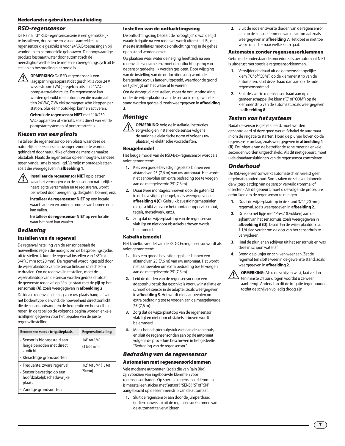#### Nederlandse gebruikershandleiding

#### *RSD-regensensor*

De Rain Bird® RSD-regensensorserie is een gemakkelijk te installeren, duurzame en visueel aantrekkelijke regensensor die geschikt is voor 24 VAC-toepassingen bij woningen en commerciële gebouwen. Dit hoogwaardige product bespaart water door automatisch de neerslaghoeveelheden te meten en beregeningscycli uit te stellen als besproeiing niet nodig is.

**1 OPMERKING:** De RSD-regensensor is een laagspanningsapparaat dat geschikt is voor 24 V wisselstroom (VAC)- regelcircuits en 24 VACpompstartrelaiscircuits. De regensensor kan worden gebruikt met automaten die maximaal tien 24 VAC, 7 VA elektromagnetische kleppen per station, plus één hoofdklep, kunnen activeren.

> **Gebruik de regensensor NIET** met 110/250 VAC- apparaten of -circuits, zoals direct werkende pompstartsystemen of pompstartrelais.

#### *Kiezen van een plaats*

Installeer de regensensor op een plaats waar deze de natuurlijke neerslag kan opvangen zonder te worden gehinderd door natuurlijke of door de mens gemaakte obstakels. Plaats de regensensor op een hoogte waar deze tegen vandalisme is beveiligd. Vermijd montageplaatsen zoals die weergegeven in **afbeelding 1**.



!**Installeer de regensensor NIET** op plaatsen waar het vermogen van de sensor om natuurlijke neerslag te verzamelen en te registreren, wordt beïnvloed door beregening, dakgoten, bomen, enz.

**Installeer de regensensor NIET** op een locatie waar bladeren en andere rommel van bomen erin kan vallen.

**Installeer de regensensor NIET** op een locatie waar het hard kan waaien.

#### *Bediening*

#### Instellen van de regenval

De regenvalinstelling van de sensor bepaalt de hoeveelheid regen die nodig is om de besproeiingscyclus uit te stellen. U kunt de regenval instellen van 1/8" tot 3/4" (5 mm tot 20 mm). De regenval wordt ingesteld door de wijzerplaatdop van de sensor linksom of rechtsom te draaien. Om de regenval in te stellen, moet de wijzerplaatdop van de sensor worden gedraaid totdat de gewenste regenval op één lijn staat met de pijl op het sensorhuis **(A)**, zoals weergegeven in **afbeelding 2**.

De ideale regenvalinstelling voor uw plaats hangt af van het bodemtype, de wind, de hoeveelheid direct zonlicht die de sensor ontvangt en de frequentie en hoeveelheid regen. In de tabel op de volgende pagina worden enkele richtlijnen gegeven voor het bepalen van de juiste regenvalinstelling.

| Kenmerken van de irrigatieplaats                                                                 | Regenvalinstelling                               |
|--------------------------------------------------------------------------------------------------|--------------------------------------------------|
| • Sensor is blootgesteld aan<br>lange perioden met direct<br>zonlicht                            | 1/8" tot 1/4"<br>$(3 \text{ tot } 6 \text{ mm})$ |
| • Kleiachtige grondsoorten                                                                       |                                                  |
| • Frequente, zware regenval<br>• Sensor bevestigd op een<br>hoofdzakelijk schaduwrijke<br>plaats | $1/2$ " tot $3/4$ " (13 tot<br>$20$ mm $)$       |
| · Zandige grondsoorten                                                                           |                                                  |

#### Instellen van de ontluchtingsring

De ontluchtingsring bepaalt de "droogtijd", d.w.z. de tijd waarin irrigatie na een regenval wordt uitgesteld. Bij de meeste installaties moet de ontluchtingsring in de geheel open stand worden gezet.

Op plaatsen waar water de neiging heeft zich na een regenval te verzamelen, moet de ontluchtingsring van de sensor gedeeltelijk worden gesloten. Door wijziging van de instelling van de ontluchtingsring wordt de beregeningscyclus langer uitgesteld, waardoor de grond de tijd krijgt om het water af te voeren.

Om de droogtijd in te stellen, moet de ontluchtingsring onder de wijzerplaatdop van de sensor in de gewenste stand worden gedraaid, zoals weergegeven in **afbeelding 3**.

## *Montage*



zorgvuldig en installeer de sensor volgens de nationale elektrische norm of volgens uw plaatselijke elektrische voorschriften.

#### Beugelmodel

Het beugelmodel van de RSD-Bex-regensensor wordt als volgt gemonteerd:

- **1.** Kies een goede bevestigingsplaats binnen een afstand van 25' (7,6 m) van uw automaat. Het wordt niet aanbevolen om extra bedrading toe te voegen aan de meegeleverde 25' (7,6 m).
- **2.** Draai twee montageschroeven door de gaten **(C)** in de bevestigingsbeugel, zoals weergegeven in **afbeelding 4 (C)**. Gebruik bevestigingsmaterialen die geschikt zijn voor het montageoppervlak (hout, tegels, metselwerk, enz.).
- **3.** Zorg dat de wijzerplaatdop van de regensensor vlak ligt en niet door obstakels erboven wordt belemmerd.

#### Kabelbuismodel

Het kabelbuismodel van de RSD-CEx-regensensor wordt als volgt gemonteerd:

- **1.** Kies een goede bevestigingsplaats binnen een afstand van 25' (7,6 m) van uw automaat. Het wordt niet aanbevolen om extra bedrading toe te voegen aan de meegeleverde 25' (7,6 m).
- **2.** Leid de draden van de regensensor door een adapterhulpstuk dat geschikt is voor uw installatie en schroef de sensor in de adapter, zoals weergegeven in **afbeelding 5**. Het wordt niet aanbevolen om extra bedrading toe te voegen aan de meegeleverde  $25'(76 m)$
- **3.** Zorg dat de wijzerplaatdop van de regensensor vlak ligt en niet door obstakels erboven wordt belemmerd.
- **4.** Maak het adapterhulpstuk vast aan de kabelbuis, en sluit de regensensor dan aan op de automaat volgens de procedure beschreven in het gedeelte "Bedrading van de regensensor".

#### *Bedrading van de regensensor*

#### Automaten met regensensorklemmen

Vele moderne automaten (zoals die van Rain Bird) zijn voorzien van ingebouwde klemmen voor regensensordraden. Op speciale regensensorklemmen is meestal een sticker met "sensor", "SENS", "S" of "SN" aangebracht op de klemmenstrip van de automaat.

**1.** Sluit de regensensor aan door de jumperdraad (indien aanwezig) uit de regensensorklemmen van de automaat te verwijderen.

**2.** Sluit de rode en zwarte draden van de regensensor aan op de sensorklemmen van de automaat zoals weergegeven in **afbeelding 7**. Het doet er niet toe welke draad er naar welke klem gaat.

#### Automaten zonder regensensorklemmen

Gebruik de onderstaande procedure als uw automaat NIET is uitgerust met speciale regensensorklemmen.

- **1.** Verwijder de draad uit de gemeenschappelijke klem ("C" of "COM") op de klemmenstrip van de automaten. Sluit deze draad dan aan op de rode regensensordraad.
- **2.** Sluit de zwarte regensensordraad aan op de gemeenschappelijke klem ("C" of "COM") op de klemmenstrip van de automaat, zoals weergegeven in **afbeelding 8**.

#### *Testen van het systeem*

Nadat de sensor is geïnstalleerd, moet worden gecontroleerd of deze goed werkt. Schakel de automaat in om de irrigatie te starten. Houd de plunjer boven op de regensensor omlaag zoals weergegeven in **afbeelding 4 (B)**. De irrigatie van de betreffende zone moet na enkele seconden worden uitgeschakeld. Als dit niet gebeurt, moet u de draadaansluitingen van de regensensor controleren.

#### *Onderhoud*

De RSD-regensensor werkt automatisch en vereist geen regelmatig onderhoud. Soms raken de schijven binnenin de wijzerplaatdop van de sensor vervuild (rommel of insecten). Als dit gebeurt, moet u de volgende procedure gebruiken om de regensensor te reinigen.

- **1.** Draai de wijzerplaatdop in de stand 3/4" (20 mm) regenval, zoals weergegeven in **afbeelding 2**.
- **2.** Druk op het lipje met "Press" (Drukken) aan de zijkant van het sensorhuis, zoals weergegeven in **afbeelding 6 (D)**. Draai dan de wijzerplaatdop ca. 1 1/4 slag verder om de dop van het sensorhuis te verwijderen.
- **3.** Haal de plunjer en schijven uit het sensorhuis en was deze in schoon water af.
- **4.** Breng de plunjer en schijven weer aan. Zet de regenval ten slotte weer in de gewenste stand, zoals weergegeven in **afbeelding 2**.



!**OPMERKING:** Als u de schijven wast, laat ze dan ten minste 24 uur drogen voordat u ze weer aanbrengt. Anders kan dit de irrigatie tegenhouden totdat de schijven volledig droog zijn.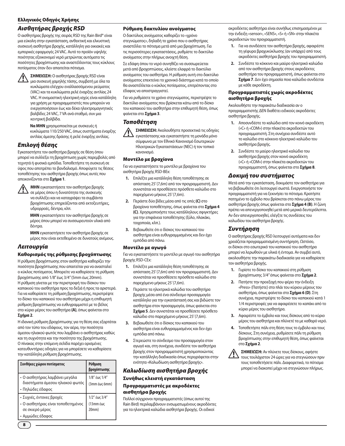#### Ελληνικός Οδηγός Χρήσης

#### *Αισθητήρας βροχής RSD*

Ο αισθητήρας βροχής της σειράς RSD της Rain Bird® είναι μια εύκολη στην εγκατάσταση, ανθεκτική και ελκυστική συσκευή αισθητήρα βροχής, κατάλληλη για οικιακές και εμπορικές εφαρμογές 24 VAC. Αυτό το προϊόν υψηλής ποιότητας εξοικονομεί νερό μετρώντας αυτόματα τις ποσότητες βροχόπτωσης και αναστέλλοντας τους κύκλους ποτίσματος όταν δεν απαιτείται πότισμα.

!**ΣΗΜΕΙΩΣΗ:** Ο αισθητήρας βροχής RSD είναι μια συσκευή χαμηλής τάσης, συμβατή με όλα τα κυκλώματα ελέγχου εναλλασσόμενου ρεύματος (VAC) και τα κυκλώματα ρελέ έναρξης αντλίας 24 VAC. Η ονομαστική ηλεκτρική ισχύς είναι κατάλληλη για χρήση με προγραμματιστές που μπορούν να ενεργοποιήσουν έως και δέκα ηλεκτρομαγνητικές βαλβίδες 24 VAC, 7 VA ανά σταθμό, συν μια κεντρική βαλβίδα.

> **Να ΜΗΝ** χρησιμοποιείται με συσκευές ή κυκλώματα 110/250 VAC, όπως συστήματα έναρξης αντλίας άμεσης δράσης ή ρελέ έναρξης αντλίας.

## *Επιλογή θέσης*

Εγκαταστήστε τον αισθητήρα βροχής σε θέση όπου μπορεί να συλλέξει τη βροχόπτωση χωρίς παρεμβολές από τεχνητά ή φυσικά εμπόδια. Τοποθετήστε τη συσκευή σε ύψος που αποτρέπει το βανδαλισμό. Αποφύγετε τις θέσεις τοποθέτησης του αισθητήρα βροχής όπως αυτές που απεικονίζονται στο **Σχήμα 1**.



!**ΜΗΝ** εγκαταστήσετε τον αισθητήρα βροχής σε μέρος όπου η δυνατότητα της συσκευής να συλλέξει και να καταγράψει τα συμβάντα βροχόπτωσης επηρεάζονται από εκτοξευτήρες, υδρορροές, δέντρα, κλπ.

**ΜΗΝ** εγκαταστήσετε τον αισθητήρα βροχής σε μέρος όπου μπορεί να συσσωρευτούν υλικά από δέντρα.

**ΜΗΝ** εγκαταστήσετε τον αισθητήρα βροχής σε μέρος που είναι εκτεθειμένο σε δυνατούς ανέμους.

## *Λειτουργία*

#### Καθορισμός της ρύθμισης βροχόπτωσης

Η ρύθμιση βροχόπτωσης στον αισθητήρα καθορίζει την ποσότητα βροχόπτωσης που απαιτείται για να ανασταλεί ο κύκλος ποτίσματος. Μπορείτε να καθορίσετε τη ρύθμιση βροχόπτωσης από 1/8" έως 3/4" (5mm έως 20mm). Η ρύθμιση γίνεται με την περιστροφή του δίσκου του καπακιού του αισθητήρα προς τα δεξιά ή προς τα αριστερά. Για να καθορίσετε τη ρύθμιση βροχόπτωσης, περιστρέψτε το δίσκο του καπακιού του αισθητήρα μέχρι η επιθυμητή ρύθμιση βροχόπτωσης να ευθυγραμμιστεί με το βέλος στο κύριο μέρος του αισθητήρα **(Α)**, όπως φαίνεται στο **Σχήμα 2**.

Η ιδανική ρύθμιση βροχόπτωσης για τη θέση σας εξαρτάται από τον τύπο του εδάφους, τον αέρα, την ποσότητα άμεσου ηλιακού φωτός που λαμβάνει ο αισθητήρας καθώς και τη συχνότητα και την ποσότητα της βροχόπτωσης. Ο πίνακας στην επόμενη σελίδα παρέχει ορισμένες κατευθυντήριες οδηγίες για να μπορέσετε να καθορίσετε την κατάλληλη ρύθμιση βροχόπτωσης.

| Συνθήκες χώρου ποτίσματος                                                                             | Ρύθμιση<br>βροχόπτωσης              |
|-------------------------------------------------------------------------------------------------------|-------------------------------------|
| • Ο αισθητήρας λαμβάνει μεγάλα<br>διαστήματα άμεσου ηλιακού φωτός<br>• Πηλώδες έδαφος                 | 1/8" έως 1/4"<br>(3mm έως 6mm)      |
| • Συχνές, έντονες βροχές<br>• Ο αισθητήρας είναι τοποθετημένος<br>σε σκιερό μέρος<br>• Αμμώδες έδαφος | 1/2" έως 3/4"<br>(13mm έως<br>20mm) |

#### Ρύθμιση δακτυλίου ανοίγματος

Ο δακτύλιος ανοίγματος καθορίζει το «χρόνο στεγνώματος», δηλαδή το χρόνο που ο αισθητήρας αναστέλλει το πότισμα μετά από μια βροχόπτωση. Για τις περισσότερες εγκαταστάσεις, ρυθμίστε το δακτύλιο ανοίγματος στην πλήρως ανοιχτή θέση.

Σε εδάφη όπου το νερό συνηθίζει να συσσωρεύεται μετά από βροχοπτώσεις, κλείστε ελαφρά το δακτύλιο ανοίγματος του αισθητήρα. Η ρύθμιση αυτή στο δακτύλιο ανοίγματος επεκτείνει το χρονικό διάστημα κατά το οποίο θα αναστέλλεται ο κύκλος ποτίσματος, επιτρέποντας στο έδαφος να αποστραγγιστεί.

Για να ρυθμίσετε το χρόνο στεγνώματος, περιστρέψτε το δακτύλιο ανοίγματος που βρίσκεται κάτω από το δίσκο του καπακιού του αισθητήρα στην επιθυμητή θέση, όπως φαίνεται στο **Σχήμα 3**.

## *Τοποθέτηση*

!**ΣΗΜΕΙΩΣΗ:** Ακολουθήστε προσεκτικά τις οδηγίες εγκατάστασης και εγκαταστήστε τη μονάδα μόνο σύμφωνα με τον Εθνικό Κανονισμό Εσωτερικών Ηλεκτρικών Εγκαταστάσεων (NEC) ή τον τοπικό κανονισμό.

#### Μοντέλο με βραχίονα

Για να εγκαταστήσετε το μοντέλο με βραχίονα του αισθητήρα βροχής RSD-BEx:

- **1.** Επιλέξτε μια κατάλληλη θέση τοποθέτησης σε απόσταση 25' (7,6m) από τον προγραμματιστή. Δεν συνιστάται να προσθέσετε πρόσθετο καλώδιο στο παρεχόμενο μήκους 25' (7,6m).
- **2.** Περάστε δύο βίδες μέσα από τις οπές **(C)** στο βραχίονα τοποθέτησης, όπως φαίνεται στο **Σχήμα 4 (C)**. Χρησιμοποιήστε τους κατάλληλους σφιγκτήρες για την επιφάνεια τοποθέτησης (ξύλο, πλακάκι, τοιχοποιία, κλπ.).
- **3.** Βεβαιωθείτε ότι ο δίσκος του καπακιού του αισθητήρα είναι ευθυγραμμισμένος και δεν έχει εμπόδια από πάνω.

#### Μοντέλο με αγωγό

Για να εγκαταστήσετε το μοντέλο με αγωγό του αισθητήρα βροχής RSD-CEx:

- **1.** Επιλέξτε μια κατάλληλη θέση τοποθέτησης σε απόσταση 25' (7,6m) από τον προγραμματιστή. Δεν συνιστάται να προσθέσετε πρόσθετο καλώδιο στο παρεχόμενο μήκους 25' (7,6m).
- **2.** Περάστε τα ηλεκτρικά καλώδια του αισθητήρα βροχής μέσα από ένα σύνδεσμο προσαρμογέα κατάλληλο για την εγκατάστασή σας και βιδώστε τον αισθητήρα στον προσαρμογέα, όπως φαίνεται στο **Σχήμα 5**. Δεν συνιστάται να προσθέσετε πρόσθετο καλώδιο στο παρεχόμενο μήκους 25' (7,6m).
- **3.** Βεβαιωθείτε ότι ο δίσκος του καπακιού του αισθητήρα είναι ευθυγραμμισμένος και δεν έχει εμπόδια από πάνω.
- **4.** Στερεώστε το σύνδεσμο του προσαρμογέα στον αγωγό και, στη συνέχεια, συνδέστε τον αισθητήρα βροχής στον προγραμματιστή χρησιμοποιώντας την κατάλληλη διαδικασία όπως περιγράφεται στην ενότητα «Καλωδίωση αισθητήρα βροχής».

## *Καλωδίωση αισθητήρα βροχής* Συνήθως κλειστή εγκατάσταση Προγραμματιστές με ακροδέκτες αισθητήρα βροχής

Πολλοί σύγχρονοι προγραμματιστές (όπως αυτοί της Rain Bird) περιλαμβάνουν ενσωματωμένους ακροδέκτες για τα ηλεκτρικά καλώδια αισθητήρα βροχής. Οι ειδικοί

ακροδέκτες αισθητήρα είναι συνήθως επισημασμένοι με την ένδειξη «sensor», «SENS», «S» ή «SN» στην πλακέτα ακροδεκτών του προγραμματιστή.

- **1.** Για να συνδέσετε τον αισθητήρα βροχής, αφαιρέστε τη γέφυρα βραχυκύκλωσης (αν υπάρχει) από τους ακροδέκτες αισθητήρα βροχής του προγραμματιστή.
- **2.** Συνδέστε το κόκκινο και μαύρο ηλεκτρικό καλώδιο από τον αισθητήρα βροχής στους ακροδέκτες αισθητήρα του προγραμματιστή, όπως φαίνεται στο **Σχήμα 7**. Δεν έχει σημασία ποιο καλώδιο συνδέεται με κάθε ακροδέκτη.

#### Προγραμματιστές χωρίς ακροδέκτες αισθητήρα βροχής

Ακολουθήστε την παρακάτω διαδικασία αν ο προγραμματιστής ΔΕΝ διαθέτει ειδικούς ακροδέκτες αισθητήρα βροχής.

- **1.** Αποσυνδέστε το καλώδιο από τον κοινό ακροδέκτη («C» ή «COM») στην πλακέτα ακροδεκτών του προγραμματιστή. Στη συνέχεια συνδέστε αυτό το καλώδιο στο κόκκινο ηλεκτρικό καλώδιο του αισθητήρα βροχής.
- **2.** Συνδέστε το μαύρο ηλεκτρικό καλώδιο του αισθητήρα βροχής στον κοινό ακροδέκτη («C» ή «COM») στην πλακέτα ακροδεκτών του προγραμματιστή, όπως φαίνεται στο **Σχήμα 8**.

#### *Δοκιμή του συστήματος*

Μετά από την εγκατάσταση, δοκιμάστε τον αισθητήρα για να βεβαιωθείτε ότι λειτουργεί σωστά. Ενεργοποιήστε τον προγραμματιστή για να ξεκινήσει το πότισμα. Κρατήστε πατημένο το έμβολο που βρίσκεται στο πάνω μέρος του αισθητήρα βροχής όπως φαίνεται στο **Σχήμα 4 (Β)**. Η ζώνη πρέπει να απενεργοποιηθεί μετά από μερικά δευτερόλεπτα. Αν δεν απενεργοποιηθεί, ελέγξτε τις συνδέσεις του καλωδίου του αισθητήρα βροχής.

## *Συντήρηση*

Ο αισθητήρας βροχής RSD λειτουργεί αυτόματα και δεν χρειάζεται προγραμματισμένη συντήρηση. Ωστόσο, οι δίσκοι στο εσωτερικό του καπακιού του αισθητήρα μπορεί να λερωθούν με υλικά ή έντομα. Αν συμβεί αυτό, ακολουθήστε την παρακάτω διαδικασία για να καθαρίσετε τον αισθητήρα βροχής.

- **1.** Γυρίστε το δίσκο του καπακιού στη ρύθμιση βροχόπτωσης 3/4" όπως φαίνεται στο **Σχήμα 2**.
- **2.** Πατήστε την προεξοχή που φέρει την ένδειξη «Press» (Πατήστε) στο πλάι του κύριου μέρους του αισθητήρα, όπως φαίνεται στο **Σχήμα 6 (D)**. Στη συνέχεια, περιστρέψτε το δίσκο του καπακιού κατά 1 1/4 περιστροφές για να αφαιρέσετε το καπάκι από το κύριο μέρος του αισθητήρα.
- **3.** Αφαιρέστε το έμβολο και τους δίσκους από το κύριο μέρος του αισθητήρα και πλύνετέ τα με καθαρό νερό.
- **4.** Τοποθετήστε πάλι στη θέση τους το έμβολο και τους δίσκους. Στη συνέχεια, ρυθμίσετε πάλι τη ρύθμιση βροχόπτωσης στην επιθυμητή θέση, όπως φαίνεται στο **Σχήμα 2**.



8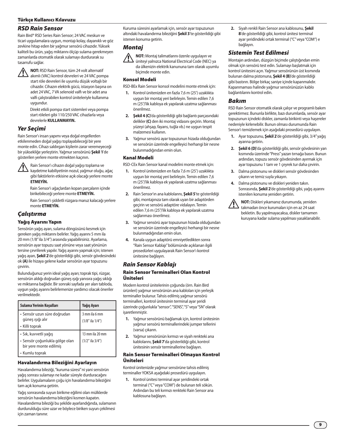#### Türkçe Kullanıcı Kılavuzu

#### *RSD Rain Sensor*

Rain Bird® RSD Series Rain Sensor; 24 VAC meskun ve ticari uygulamalara uygun, montajı kolay, dayanıklı ve göz zevkine hitap eden bir yağmur sensörü cihazıdır. Yüksek kaliteli bu ürün, yağış miktarını ölçüp sulama gerekmeyen zamanlarda otomatik olarak sulamayı durdurarak su tasarrufu sağlar.

**1 NOT:** RSD Rain Sensor, tüm 24 volt alternatif akımlı (VAC) kontrol devreleri ve 24 VAC pompa start röle devreleri ile uyumlu düşük voltajlı bir cihazdır. Cihazın elektrik gücü, istasyon başına on adet 24 VAC, 7 VA selenoid valfı ve bir adet ana valfı çalıştırabilen kontrol üniteleriyle kullanıma uygundur.

> Direkt etkili pompa start sistemleri veya pompa start röleleri gibi 110/250 VAC cihazlarla veya devrelerle **KULLANMAYIN.**

#### *Yer Seçimi*

Rain Sensor'ı insan yapımı veya doğal engellerden etkilenmeden doğal yağışı toplayabileceği bir yere monte edin. Cihazı saldırgan kişilerin zarar veremeyeceği bir yüksekliğe yerleştirin. Yağmur sensörünü **Şekil 1**'de gösterilen yerlere monte etmekten kaçının.

 $\bigotimes$  Rain Sensor'ı cihazın doğal yağışı toplama ve<br>kaydetme kabiliyetinin nozul, yağmur oluğu, ağaç gibi faktörlerin etkisine açık olacağı yerlere monte **ETMEYİN.**

> Rain Sensor'ı ağaçlardan kopan parçaların içinde birikebileceği yerlere monte **ETMEYİN.**

Rain Sensor'ı şiddetli rüzgara maruz kalacağı yerlere monte **ETMEYİN.**

#### *Çalıştırma*

#### Yağış Ayarını Yapın

Sensörün yağış ayarı, sulama döngüsünü kesmek için gereken yağış miktarını belirler. Yağış ayarını 5 mm ila 20 mm (1/8" ila 3/4") arasında yapabilirsiniz. Ayarlama, sensörün ayar topuzu saat yönüne veya saat yönünün tersine çevrilerek yapılır. Yağış ayarını yapmak için; istenen yağış ayarı, **Şekil 2**'de gösterildiği gibi, sensör gövdesindeki ok **(A)** ile hizaya gelene kadar sensörün ayar topuzunu çevirin.

Bulunduğunuz yerin ideal yağış ayarı; toprak tipi, rüzgar, sensörün aldığı doğrudan güneş ışığı yanısıra yağış sıklığı ve miktarına bağlıdır. Bir sonraki sayfada yer alan tabloda, uygun yağış ayarını belirlemenize yardımcı olacak öneriler verilmektedir.

| Sulama Yerinin Kosulları                                                          | Yağış Ayarı                             |
|-----------------------------------------------------------------------------------|-----------------------------------------|
| • Sensör uzun süre doğrudan<br>güneş işığı alır<br>• Killi toprak                 | 3 mm ila 6 mm<br>$(1/8"$ ila $1/4"$ )   |
| • Sık, kuvvetli yağış<br>· Sensör çoğunlukla gölge olan<br>bir yere monte edilmiş | 13 mm ila 20 mm<br>$(1/2"$ ila $3/4"$ ) |
| • Kumlu toprak                                                                    |                                         |

#### Havalandırma Bileziğini Ayarlayın

Havalandırma bileziği, "kuruma süresi" ni yani sensörün yağış sonrası sulamayı ne kadar süreyle durduracağını belirler. Uygulamaların çoğu için havalandırma bileziğini tam açık konuma getirin.

Yağış sonrasında suyun birikme eğilimi olan mülklerde sensörün havalandırma bileziğini kısmen kapatın. Havalandırma bileziği bu şekilde ayarlandığında, sulamanın durdurulduğu süre uzar ve böylece biriken suyun çekilmesi için zaman tanınır.

Kuruma süresini ayarlamak için, sensör ayar topuzunun altındaki havalandırma bileziğini **Şekil 3**'te gösterildiği gibi istenen konuma getirin.

## *Montaj*

**1 NOT:** Montaj talimatlarını özenle uygulayın ve<br>initeyi yalnızca National Electrical Code (NEC) ya da ülkenizin elektrik kanununa tam olarak uyumlu biçimde monte edin.

#### Konsol Modeli

RSD-BEx Rain Sensor konsol modelini monte etmek için:

- **1.** Kontrol ünitenizden en fazla 7,6 m (25') uzaklıkta uygun bir montaj yeri belirleyin. Temin edilen 7,6 m (25')'lik kabloya ek yapılarak uzatma sağlanması önerilmez.
- **2. Şekil 4 (C)**'da gösterildiği gibi bağlantı parçasındaki delikler **(C)** den iki montaj vidasını geçirin. Montaj yüzeyi (ahşap, fayans, tuğla vb.) ne uygun tespit malzemesi kullanın.
- **3.** Yağmur sensörü ayar topuzunun hizada olduğundan ve sensörün üzerinde engelleyici herhangi bir nesne bulunmadığından emin olun.

#### Kanal Modeli

- RSD-CEx Rain Sensor kanal modelini monte etmek için:
- **1.** Kontrol ünitenizden en fazla 7,6 m (25') uzaklıkta uygun bir montaj yeri belirleyin. Temin edilen 7,6 m (25')'lik kabloya ek yapılarak uzatma sağlanması önerilmez.
- **2.** Rain Sensor'ın ana kablolarını, **Şekil 5**'te gösterildiği gibi, montajınıza tam olarak uyan bir adaptörden geçirin ve sensörü adaptöre vidalayın. Temin edilen 7,6 m (25')'lik kabloya ek yapılarak uzatma sağlanması önerilmez.
- **3.** Yağmur sensörü ayar topuzunun hizada olduğundan ve sensörün üzerinde engelleyici herhangi bir nesne bulunmadığından emin olun.
- **4.** Kanala uygun adaptörü emniyetledikten sonra "Rain Sensor Kablajı" bölümünde açıklanan ilgili prosedürleri uygulayarak Rain Sensor'ı kontrol ünitesine bağlayın.

#### *Rain Sensor Kablajı*

#### Rain Sensor Terminalleri Olan Kontrol Üniteleri

Modern kontrol ünitelerinin çoğunda (örn. Rain Bird ürünleri) yağmur sensörünün ana kabloları için yerleşik terminaller bulunur. Tahsis edilmiş yağmur sensörü terminalleri, kontrol ünitesinin terminal ayar şeridi üzerinde çoğunlukla "sensor", "SENS", "S" veya "SN" olarak işaretlenmiştir.

- **1.** Yağmur sensörünü bağlamak için, kontrol ünitesinin yağmur sensörü terminallerindeki jumper tellerini (varsa) çıkarın.
- **2.** Yağmur sensörünün kırmızı ve siyah renkteki ana kablolarını, **Şekil 7**'da gösterildiği gibi, kontrol ünitesinin sensör terminallerine bağlayın.

#### Rain Sensor Terminalleri Olmayan Kontrol Üniteleri

Kontrol ünitenizde yağmur sensörüne tahsis edilmiş terminaller YOKSA aşağıdaki prosedürü uygulayın.

**1.** Kontrol ünitesi terminal ayar şeridindeki ortak terminal ("C" veya "COM") de bulunan teli sökün. Ardından bu teli kırmızı renkteki Rain Sensor ana kablosuna bağlayın.

**2.** Siyah renkli Rain Sensor ana kablosunu, **Şekil 8**'de gösterildiği gibi, kontrol ünitesi terminal ayar şeridindeki ortak terminal ("C" veya "COM") e bağlayın.

## *Sistemin Test Edilmesi*

Montajın ardından, düzgün biçimde çalıştığından emin olmak için sensörü test edin. Sulamayı başlatmak için kontrol ünitesini açın. Yağmur sensörünün üst kısmında bulunan dalma pistonuna, **Şekil 4 (B)**'de gösterildiği gibi bastırın. Bölge birkaç saniye içinde kapanmalıdır. Kapanmaması halinde yağmur sensörünüzün kablo bağlantılarını kontrol edin.

#### *Bakım*

RSD Rain Sensor otomatik olarak çalışır ve programlı bakım gerektirmez. Bununla birlikte, bazı durumlarda, sensör ayar topuzunun içindeki diskler, zamanla birikinti veya haşereler nedeniyle kirlenebilir. Bunun olması durumunda Rain Sensor'ı temizlemek için aşağıdaki prosedürü uygulayın.

- **1.** Ayar topuzunu, **Şekil 2**'de gösterildiği gibi, 3/4" yağış ayarına getirin.
- **2. Şekil 6 (D)**'da gösterildiği gibi, sensör gövdesinin yan kısmında üzerinde "Press" yazan tırnağa basın. Bunun ardından, topuzu sensör gövdesinden ayırmak için ayar topuzunu 1 tam ve 1 çeyrek tur daha çevirin.
- **3.** Dalma pistonunu ve diskleri sensör gövdesinden çıkarın ve temiz suyla yıkayın.
- **4.** Dalma pistonunu ve diskleri yeniden takın. Sonrasında, **Şekil 2**'de gösterildiği gibi, yağış ayarını istenilen konuma yeniden getirin.
- !**NOT:** Diskleri yıkamanız durumunda, yeniden takmadan önce kurumaları için en az 24 saat bekletin. Bu yapılmayacaksa, diskler tamamen kuruyana kadar sulama yapılması yasaklanabilir.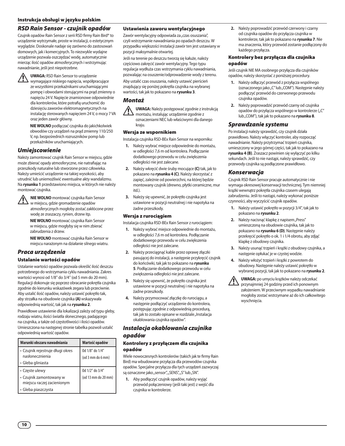#### *RSD Rain Sensor - czujnik opadów*

Czujnik opadów Rain Sensor z serii RSD firmy Rain Bird® to urządzenie wytrzymałe, proste w instalacji, o estetycznym wyglądzie. Doskonale nadaje się zarówno do zastosowań domowych, jak i komercyjnych. To niezwykle wydajne urządzenie pozwala oszczędzać wodę, automatycznie mierząc ilość opadów atmosferycznych i wstrzymując nawadnianie, jeśli jest niepotrzebne.

**/ UWAGA:** RSD Rain Sensor to urządzenie<br>W wymagające niskiego napięcia, współpracujące ze wszystkimi przekaźnikami uruchamiającymi pompę i obwodami sterującymi na prąd zmienny o napięciu 24 V. Napięcie znamionowe odpowiednie dla kontrolerów, które potrafią uruchomić do dziesięciu zaworów elektromagnetycznych na instalację sterowanych napięciem 24 V, o mocy 7 VA oraz jeden zawór główny.

**NIE WOLNO** podłączać czujnika do jakichkolwiek obwodów czy urządzeń na prąd zmienny 110/250 V, np. bezpośrednich rozruszników pomp lub przekaźników uruchamiających.

#### *Umiejscowienie*

Należy zamontować czujnik Rain Sensor w miejscu, gdzie może zbierać opady atmosferyczne, nie natrafiając na przeszkody naturalne lub stworzone przez człowieka. Należy umieścić urządzenie na takiej wysokości, aby utrudnić lub uniemożliwić ewentualne akty wandalizmu. Na **rysunku 1** przedstawiono miejsca, w których nie należy montować czujnika.

!**NIE WOLNO** montować czujnika Rain Sensor w miejscu, gdzie gromadzenie opadów atmosferycznych mogłoby zostać zakłócone przez wodę ze zraszaczy, rynien, drzew itp.

**NIE WOLNO** montować czujnika Rain Sensor w miejscu, gdzie mogłyby się w nim zbierać zabrudzenia z drzew.

**NIE WOLNO** montować czujnika Rain Sensor w miejscu narażonym na działanie silnego wiatru.

#### *Praca urządzenia*

#### Ustalanie wartości opadów

Ustalanie wartości opadów pozwala określić ilość deszczu potrzebnego do wstrzymania cyklu nawadniania. Zakres wartości wynosi od 1/8'' do 3/4'' (od 5 mm do 20 mm). Regulacji dokonuje się poprzez obracanie pokrętła czujnika zgodnie do kierunku wskazówek zegara lub przeciwnie. Aby ustalić ilość opadów, należy ustawić pokrętło tak, aby strzałka na obudowie czujnika **(A)** wskazywała odpowiednią wartość, tak jak na **rysunku 2**.

Prawidłowe ustawienie dla lokalizacji zależy od typu gleby, rodzaju wiatru, ilości światła słonecznego, padającego na czujnika, a także od częstotliwości i ilości opadów. Umieszczona na następnej stronie tabelka pozwoli ustalić odpowiednią wartość opadów.

| Warunki obszaru nawadniania                                              | Wartość opadów                             |
|--------------------------------------------------------------------------|--------------------------------------------|
| • Czujnik rejestruje długi okres<br>nasłonecznienia<br>• Gleba gliniasta | Od 1/8" do 1/4"<br>$($ od 3 mm do 6 mm $)$ |
| • Częste ulewy<br>• Czujnik zamontowany w<br>miejscu raczej zacienionym  | Od 1/2" do 3/4"<br>(od 13 mm do 20 mm)     |
| · Gleba piaszczysta                                                      |                                            |

#### Ustawienia zaworu wentylacyjnego

Zawór wentylacyjny odpowiada za "czas osuszania", czyli wstrzymanie nawadniania po opadach deszczu. W przypadku większości instalacji zawór ten jest ustawiany w pozycji maksymalnie otwartej.

Jeśli na terenie po deszczu tworzą się kałuże, należy częściowo zakręcić zawór wentylacyjny. Tego typu regulacja wydłuża czas wstrzymania cyklu nawadniania, pozwalając na osuszenie/odprowadzenie wody z terenu.

Aby ustalić czas osuszania, należy ustawić pierścień znajdujący się poniżej pokrętła czujnika na wybranej wartości, tak jak to pokazano na **rysunku 3**.

#### *Montaż*

!**UWAGA:** Należy postępować zgodnie z instrukcją montażu, instalując urządzenie zgodnie z oznaczeniami NEC lub właściwymi dla danego kraju.

#### Wersja ze wspornikiem

Instalacja czujnika RSD-BEx Rain Sensor na wsporniku:

- **1.** Należy wybrać miejsce odpowiednie do montażu, w odległości 7,6 m od kontrolera. Podłączanie dodatkowego przewodu w celu zwiększenia odległości nie jest zalecane.
- **2.** Należy wkręcić dwie śruby mocujące **(C)** tak, jak to pokazano na **rysunku 4 (C)**. Należy skorzystać z zapięć, zależnie od powierzchni, na której będzie montowany czujnik (drewno, płytki ceramiczne, mur itd.).
- **3.** Należy się upewnić, że pokrętło czujnika jest ustawione w pozycji neutralnej i nie napotyka na żadne przeszkody.

#### Wersja z rurociągiem

Instalacja czujnika RSD-BEx Rain Sensor z rurociągiem:

- **1.** Należy wybrać miejsce odpowiednie do montażu, w odległości 7,6 m od kontrolera. Podłączanie dodatkowego przewodu w celu zwiększenia odległości nie jest zalecane.
- **2.** Należy przeciągnąć kable przez oprawę złączki pasującej do instalacji, a następnie przykręcić czujnik do końcówki, tak jak to pokazano na **rysunku 5**. Podłączanie dodatkowego przewodu w celu zwiększenia odległości nie jest zalecane.
- **3.** Należy się upewnić, że pokrętło czujnika jest ustawione w pozycji neutralnej i nie napotyka na żadne przeszkody.
- **4.** Należy przymocować złączkę do rurociągu, a następnie podłączyć urządzenie do kontrolera, postępując zgodnie z odpowiednią procedurą, tak jak to zostało opisane w rozdziale "Instalacja okablowania czujnika opadów".

#### *Instalacja okablowania czujnika opadów*

#### Kontrolery z przyłączem dla czujnika opadów

Wiele nowoczesnych kontrolerów (takich jak te firmy Rain Bird) ma wbudowane przyłącza dla przewodów czujnika opadów. Specjalne przyłącza dla tych urządzeń zazwyczaj są oznaczone jako "sensor", "SENS", "S" lub "SN".

**1.** Aby podłączyć czujnik opadów, należy wyjąć przewód połączeniowy (jeśli taki jest) z wejść dla czujnika w kontrolerze.

**2.** Należy poprowadzić przewód czerwony i czarny od czujnika opadów do przyłącza czujnika w kontrolerze, tak jak to pokazano na **rysunku 7**. Nie ma znaczenia, który przewód zostanie podłączony do każdego przyłącza.

#### Kontrolery bez przyłącza dla czujnika opadów

Jeśli czujnik NIE MA osobnego przyłącza dla czujników opadów, należy skorzystać z poniższej procedury.

- **1.** Należy odłączyć przewód z przyłącza wspólnego (oznaczonego jako "C" lub "COM"). Następnie należy podłączyć przewód do czerwonego przewodu czujnika opadów.
- **2.** Należy poprowadzić przewód czarny od czujnika opadów do przyłącza wspólnego w kontrolerze ("C" lub "COM"), tak jak to pokazano na **rysunku 8**.

#### *Sprawdzanie systemu*

Po instalacji należy sprawdzić, czy czujnik działa prawidłowo. Należy włączyć kontroler, aby rozpocząć nawadnianie. Należy przytrzymać trzpień czujnika, umieszczony w jego górnej części, tak jak to pokazano na **rysunku 4 (B)**. Zraszacz powinien się wyłączyć po kilku sekundach. Jeśli to nie nastąpi, należy sprawdzić, czy przewody czujnika są podłączone prawidłowo.

#### *Konserwacja*

Czujnik RSD Rain Sensor pracuje automatycznie i nie wymaga okresowej konserwacji technicznej. Tym niemniej krążki wewnątrz pokrętła czujnika czasem ulegają zabrudzeniu. Jeśli to nastąpi, należy wykonać poniższe czynności, aby wyczyścić czujnik opadów.

- **1.** Należy ustawić pokrętło w pozycji 3/4", tak jak to pokazano na **rysunku 2**.
- 2. Należy nacisnąć klapkę z napisem "Press" umieszczoną na obudowie czujnika, tak jak to pokazano na **rysunku 6 (D)**. Następnie należy przekręcić pokrętło o ok. 1 i 1/4 obrotu, aby zdjąć klapkę z obudowy czujnika.
- **3.** Należy usunąć trzpień i krążki z obudowy czujnika, a następnie opłukać je w czystej wodzie.
- **4.** Należy włożyć trzpień i krążki z powrotem do obudowy. Następnie należy ustawić pokrętło w wybranej pozycji, tak jak to pokazano na **rysunku 2**.

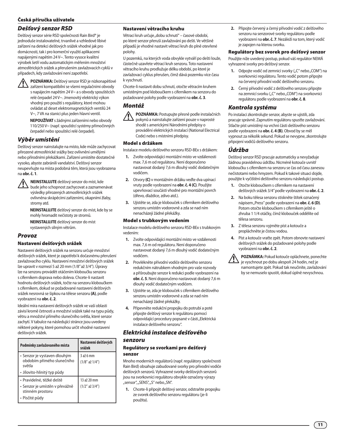#### Česká příručka uživatele

#### *Dešťový senzor RSD*

Dešťový senzor série RSD společnosti Rain Bird® je jednoduše instalovatelné, trvanlivé a vzhledově líbivé zařízení na detekci dešťových srážek vhodné jak pro domácnosti, tak i pro komerční využití aplikacemi napájenými napětím 24 V~. Tento vysoce kvalitní výrobek šetří vodu automatickým měřením množství atmosférických srážek a přerušením zavlažovacích cyklů v případech, kdy zavlažování není zapotřebí.

!**POZNÁMKA:** Dešťový senzor RSD je nízkonapěťové zařízení kompatibilní se všemi regulačními obvody s napájecím napětím 24 V~ a s obvody spouštěcích relé čerpadel 24 V~. Jmenovitý elektrický výkon vhodný pro použití s regulátory, které mohou ovládat až deset elektromagnetických ventilů 24 V~, 7 VA na stanici plus jeden hlavní ventil.

**NEPOUŽÍVAT** s žádnými zařízeními nebo obvody 110/250 V~ (např. spouštěcí systémy přímočinných čerpadel nebo spouštěcí relé čerpadel).

#### *Výběr umístění*

Dešťový senzor nainstalujte na místo, kde může zachycovat přirozené atmosférické srážky bez ovlivnění umělými nebo přírodními překážkami. Zařízení umístěte dostatečně vysoko, abyste zabránili vandalství. Dešťový senzor neupevňujte na místa podobná těm, která jsou vyobrazena na **obr. č. 1**.

!**NEINSTALUJTE** dešťový senzor do míst, kde bude jeho schopnost zachycovat a zaznamenávat výsledky přirozených atmosférických srážek ovlivněna skrápěcími zařízeními, okapními žlaby, stromy atd.

**NEINSTALUJTE** dešťový senzor do míst, kde by se mohly hromadit nečistoty ze stromů.

**NEINSTALUJTE** dešťový senzor do míst

vystavených silným větrům.

#### *Provoz*

#### Nastavení dešťových srážek

Nastavení dešťových srážek na senzoru určuje množství dešťových srážek, které je zapotřebí k dočasnému přerušení zavlažovacího cyklu. Nastavení množství dešťových srážek lze upravit v rozmezí 5 až 20 mm (1/8" až 3/4"). Úpravy lze na senzoru provádět otáčením kloboučku senzoru s ciferníkem doprava nebo doleva. Chcete-li nastavit hodnotu dešťových srážek, točte na senzoru kloboučkem s ciferníkem, dokud se požadované nastavení dešťových srážek nesrovná se šipkou na tělese senzoru **(A)**, podle vyobrazení na **obr. č. 2**.

Ideální míra nastavení dešťových srážek ve vaší oblasti závisí kromě četnosti a množství srážek také na typu půdy, větru a množství přímého slunečního světla, které senzor zachytí. V tabulce na následující stránce jsou uvedeny některé pokyny, které pomohou určit vhodné nastavení dešťových srážek.

| Podmínky zavlažovaného místa                                         | Nastavení dešťových<br>srážek  |
|----------------------------------------------------------------------|--------------------------------|
| • Senzor je vystaven dlouhým<br>obdobím přímého slunečního<br>světla | 3 až 6 mm<br>$(1/8"$ až $1/4"$ |
| · Jílovito-hlinitý typ půdy                                          |                                |
| • Pravidelné, těžké deště                                            | 13 až 20 mm                    |
| · Senzor je umístěn v převážně<br>stinném prostoru                   | (1/2'' až 3/4'')               |
| • Písčité půdy                                                       |                                |

#### Nastavení větracího kruhu

Větrací kruh určuje "dobu schnutí" – časové období, po které senzor přeruší zavlažování po dešti. Ve většině případů je vhodné nastavit větrací kruh do plně otevřené polohy.

U pozemků, na kterých voda obvykle vytváří po dešti louže, částečně uzavřete větrací kruh senzoru. Toto nastavení větracího kruhu prodlužuje délku období, po které je zavlažovací cyklus přerušen, čímž dává pozemku více času k vyschnutí.

Chcete-li nastavit dobu schnutí, otočte větracím kruhem umístěným pod kloboučkem s ciferníkem na senzoru do požadované polohy podle vyobrazení na **obr. č. 3**.

#### *Montáž*



!**POZNÁMKA:** Postupujte přesně podle instalačních pokynů a nainstalujte zařízení pouze v naprosté shodě s americkými Národními předpisy o provádění elektrických instalací (National Electrical

Code) nebo s místními předpisy. Model s držákem

Instalace modelu dešťového senzoru RSD-BEx s držákem:

- **1.** Zvolte odpovídající montážní místo ve vzdálenosti max. 7,6 m od regulátoru. Není doporučeno nastavovat dodaný 7,6 m dlouhý vodič dodatečným vodičem.
- **2.** Otvory **(C)** v montážním držáku veďte dva upínací vruty podle vyobrazení na **obr. č. 4 (C)**. Použijte upevňovací součásti vhodné pro montážní povrch (dřevo, dlaždice, zdivo atd.).
- **3.** Ujistěte se, zda je klobouček s ciferníkem dešťového senzoru umístěn vodorovně a zda se nad ním nenacházejí žádné překážky.

#### Model s trubkovým vedením

Instalace modelu dešťového senzoru RSD-BEx s trubkovým vedením:

- **1.** Zvolte odpovídající montážní místo ve vzdálenosti max. 7,6 m od regulátoru. Není doporučeno nastavovat dodaný 7,6 m dlouhý vodič dodatečným vodičem.
- **2.** Provlékněte přívodní vodiče dešťového senzoru redukčním nátrubkem vhodným pro vaše rozvody a přišroubujte senzor k redukci podle vyobrazení na **obr. č. 5**. Není doporučeno nastavovat dodaný 7,6 m dlouhý vodič dodatečným vodičem.
- **3.** Ujistěte se, zda je klobouček s ciferníkem dešťového senzoru umístěn vodorovně a zda se nad ním nenacházejí žádné překážky.
- **4.** Připevněte redukční propojku do potrubí a poté připojte dešťový senzor k regulátoru pomocí odpovídající procedury popsané v části "Elektrická instalace dešťového senzoru".

#### *Elektrická instalace dešťového senzoru*

#### Regulátory se svorkami pro dešťový senzor

Mnoho moderních regulátorů (např. regulátory společnosti Rain Bird) obsahuje zabudované svorky pro přívodní vodiče dešťových senzorů. Vyhrazené svorky dešťových senzorů jsou na svorkovnici regulátoru obvykle označeny výrazy "sensor", "SENS", "S" nebo "SN".

**1.** Chcete-li připojit dešťový senzor, odstraňte propojku ze svorek dešťového senzoru regulátoru (je-li použita).

**2.** Připojte červený a černý přívodní vodič z dešťového senzoru na senzorové svorky regulátoru podle vyobrazení na **obr. č. 7**. Nezáleží na tom, který vodič je zapojen na kterou svorku.

#### Regulátory bez svorek pro dešťový senzor

Použijte níže uvedený postup, pokud váš regulátor NEMÁ vyhrazené svorky pro dešťový senzor.

- **1.** Odpojte vodič od zemnicí svorky ("C" nebo "COM") na svorkovnici regulátoru. Tento vodič potom připojte na červený přívodní vodič dešťového senzoru.
- **2.** Černý přívodní vodič z dešťového senzoru připojte na zemnicí svorku ("C" nebo "COM") na svorkovnici regulátoru podle vyobrazení na **obr. č. 8**.

#### *Kontrola systému*

Po instalaci zkontrolujte senzor, abyste se ujistili, zda pracuje správně. Zapnutím regulátoru spusťte zavlažování. Stlačte píst umístěný na vrchní části dešťového senzoru podle vyobrazení na **obr. č. 4 (B)**. Obvod by se měl vypnout za několik sekund. Pokud se nevypne, zkontrolujte připojení vodičů dešťového senzoru.

## *Údržba*

Dešťový senzor RSD pracuje automaticky a nevyžaduje žádnou pravidelnou údržbu. Nicméně kotouče uvnitř kloboučku s ciferníkem na senzoru se čas od času zanesou nečistotami nebo hmyzem. Pokud k takové situaci dojde, použijte k vyčištění dešťového senzoru následující postup.

- **1.** Otočte kloboučkem s ciferníkem na nastavení dešťových srážek 3/4" podle vyobrazení na **obr. č. 2**.
- **2.** Na boku tělesa senzoru stiskněte štítek označený nápisem "Press" podle vyobrazení na **obr. č. 6 (D)**. Potom otočte kloboučkem s ciferníkem ještě o zhruba 1 1/4 otáčky, čímž klobouček oddělíte od tělesa senzoru.
- **3.** Z tělesa senzoru vyjměte píst a kotouče a propláchněte je čistou vodou.
- **4.** Píst a kotouče vraťte zpět. Potom obnovte nastavení dešťových srážek do požadované polohy podle vyobrazení na **obr. č. 2**.

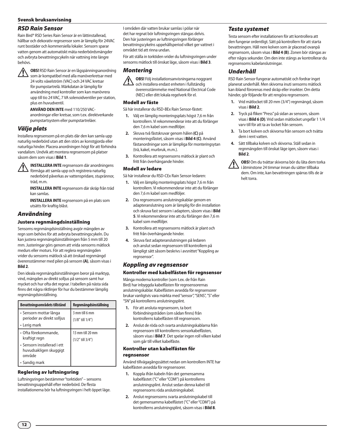#### *RSD Rain Sensor*

Rain Bird® RSD Series Rain Sensor är en lättinstallerad, hållbar och dekorativ regnsensor som är lämplig för 24VAC runt bostäder och kommersiella lokaler. Sensorn sparar vatten genom att automatiskt mäta nederbördsmängder och avbryta bevattningscykeln när vattning inte längre behövs.

**1 OBS!** RSD Rain Sensor är en lågspänningsanordning<br>som är kompatibel med alla manöverkretsar med 24 volts växelström (VAC) och 24 VAC kretsar för pumpstartrelä. Märkdatan är lämplig för användning med kontroller som kan manövrera upp till tio 24 VAC, 7 VA solenoidventiler per station, plus en huvudventil.

**ANVÄND DEN INTE** med 110/250 VAC-

anordningar eller kretsar, som t.ex. direktverkande pumpstartsystem eller pumpstartreläer.

#### *Välja plats*

Installera regnsensorn på en plats där den kan samla upp naturlig nederbörd utan att den störs av konstgjorda eller naturliga hinder. Placera anordningen högt för att förhindra vandalism. Undvik att montera regnsensorn på platser såsom dem som visas i **Bild 1**.

!**INSTALLERA INTE** regnsensorn där anordningens förmåga att samla upp och registrera naturlig nederbörd påverkas av vattenspridare, stuprännor, träd, m.m.

**INSTALLERA INTE** regnsensorn där skräp från träd kan samlas.

**INSTALLERA INTE** regnsensorn på en plats som utsätts för kraftig blåst.

#### *Användning*

#### Justera regnmängdsinställning

Sensorns regnmängdsinställning avgör mängden av regn som behövs för att avbryta bevattningscykeln. Du kan justera regnmängdsinställningen från 5 mm till 20 mm. Justeringar görs genom att vrida sensorns mätlock medurs eller moturs. För att reglera regnmängden vrider du sensorns mätlock så att önskad regnmängd överensstämmer med pilen på sensorn **(A)**, såsom visas i **Bild 2**.

Den ideala regnmängdsinställningen beror på marktyp, vind, mängden av direkt solljus på sensorn samt hur mycket och hur ofta det regnar. I tabellen på nästa sida finns det några riktlinjer för hur du bestämmer lämplig regnmängdsinställning.

| Bevattningsområdets tillstånd                                        | Regnmängdsinställning                     |
|----------------------------------------------------------------------|-------------------------------------------|
| • Sensorn mottar långa<br>perioder av direkt solljus<br>• Lerig mark | 3 mm till 6 mm<br>$(1/8"$ till $1/4")$    |
| • Ofta förekommande,<br>kraftigt regn                                | 13 mm till 20 mm<br>$(1/2"$ till $3/4"$ ) |
| • Sensorn installerad i ett<br>huvudsakligen skuggigt<br>område      |                                           |
| Sandig mark                                                          |                                           |

#### Reglering av luftningsring

Luftningsringen bestämmer "torktiden" – sensorns bevattningsuppehåll efter nederbörd. De flesta installationerna bör ha luftningsringen i helt öppet läge. I områden där vatten brukar samlas i pölar när det har regnat bör luftningsringen stängas delvis. Den här justeringen av luftningsringen förlänger bevattningscykelns uppehållsperiod vilket ger vattnet i området tid att rinna undan.

För att ställa in torktiden vrider du luftningsringen under sensorns mätlock till önskat läge, såsom visas i **Bild 3**.

#### *Montering*

!**OBS!** Följ installationsanvisningarna noggrant och installera endast enheten i fullständig överensstämmelse med National Electrical Code (NEC) eller ditt lokala regelverk för el.

#### Modell av fäste

Så här installerar du RSD-BEx Rain Sensor-fästet:

- **1.** Välj en lämplig monteringsplats högst 7,6 m från kontrollern. Vi rekommenderar inte att du förlänger den 7,6 m kabel som medföljer.
- **2.** Skruva två fästskruvar genom hålen **(C)** på monteringsfästet, såsom visas i **Bild 4 (C)**. Använd fästanordningar som är lämpliga för monteringsytan (trä, kakel, murbruk, m.m.).
- **3.** Kontrollera att regnsensorns mätlock är plant och fritt från överhängande hinder.

#### Modell av ledare

Så här installerar du RSD-CEx Rain Sensor-ledaren:

- **1.** Välj en lämplig monteringsplats högst 7,6 m från kontrollern. Vi rekommenderar inte att du förlänger den 7,6 m kabel som medföljer.
- **2.** Dra regnsensorns anslutningskablar genom en adapteranslutning som är lämplig för din installation och skruva fast sensorn i adaptern, såsom visas i **Bild 5**. Vi rekommenderar inte att du förlänger den 7,6 m kabel som medföljer.
- **3.** Kontrollera att regnsensorns mätlock är plant och fritt från överhängande hinder.
- **4.** Skruva fast adapteranslutningen på ledaren och anslut sedan regnsensorn till kontrollern på lämpligt sätt såsom beskrivs i avsnittet "Koppling av regnsensor".

#### *Koppling av regnsensor*

#### Kontroller med kabelfästen för regnsensor

Många moderna kontroller (som t.ex. de från Rain Bird) har inbyggda kabelfästen för regnsensorernas anslutningskablar. Kabelfästen avsedda för regnsensorer brukar vanligtvis vara märkta med "sensor", "SENS", "S" eller "SN" på kontrollerns anslutningsplint.

- **1.** För att ansluta regnsensorn, ta bort förbindningstråden (om sådan finns) från kontrollerns kabelfästen till regnsensorn.
- **2.** Anslut de röda och svarta anslutningskablarna från regnsensorn till kontrollerns sensorkabelfästen, såsom visas i **Bild 7**. Det spelar ingen roll vilken kabel som går till vilket kabelfäste.

## Kontroller utan kabelfästen för

#### regnsensor

Använd tillvägagångssättet nedan om kontrollern INTE har kabelfästen avsedda för regnsensorer.

- **1.** Koppla ifrån kabeln från det gemensamma kabelfästet ("C" eller "COM") på kontrollerns anslutningsplint. Anslut sedan denna kabel till regnsensorns röda anslutningskabel.
- **2.** Anslut regnsensorns svarta anslutningskabel till det gemensamma kabelfästet ("C" eller "COM") på kontrollerns anslutningsplint, såsom visas i **Bild 8**.

#### *Testa systemet*

Testa sensorn efter installationen för att kontrollera att den fungerar ordentligt. Sätt på kontrollern för att starta bevattningen. Håll nere kolven som är placerad ovanpå regnsensorn, såsom visas i **Bild 4 (B)**. Zonen bör stängas av efter några sekunder. Om den inte stängs av kontrollerar du regnsensorns kabelanslutningar.

#### *Underhåll*

RSD Rain Sensor fungerar automatiskt och fordrar inget planerat underhåll. Men skivorna inuti sensorns mätlock kan ibland förorenas med skräp eller insekter. Om detta händer, gör följande för att rengöra regnsensorn.

- **1.** Vrid mätlocket till 20 mm (3/4") regnmängd, såsom visas i **Bild 2**.
- **2.** Tryck på fliken "Press" på sidan av sensorn, såsom visas i **Bild 6 (D)**. Vrid sedan mätlocket ungefär 1 1/4 varv till för att ta av locket från sensorn.
- **3.** Ta bort kolven och skivorna från sensorn och tvätta dem i rent vatten.
- **4.** Sätt tillbaka kolven och skivorna. Ställ sedan in regnmängden till önskat läge igen, såsom visas i **Bild 2**.

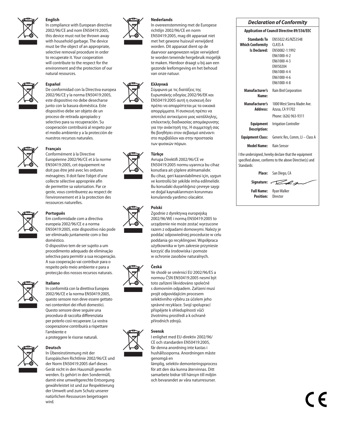English<br>
In compliance v<br>
2002/96/CE and<br>
this device mus<br>
with household In compliance with European directive 2002/96/CE and nom EN50419:2005, this device must not be thrown away with household garbage. The device must be the object of an appropriate, selective removal procedure in order to recuperate it. Your cooperation will contribute to the respect for the environment and the protection of our natural resources.



De conformidad con la Directiva europea 2002/96/CE y la norma EN50419:2005, este dispositivo no debe desecharse junto con la basura doméstica. Este dispositivo debe ser objeto de un proceso de retirada apropiado y selectivo para su recuperación. Su cooperación contribuirá al respeto por el medio ambiente y a la protección de nuestros recursos naturales.



Conformément à la Directive Européenne 2002/96/CE et à la norme EN50419:2005, cet équipement ne doit pas être jeté avec les ordures ménagères. Il doit faire l'objet d'une collecte sélective appropriée afin de permettre sa valorisation. Par ce geste, vous contribuerez au respect de l'environnement et à la protection des ressources naturelles.



**Português**<br>Em conformida<br>europeia 2002/<br>EN50419:2005,<br>ser eliminado ju Em conformidade com a directiva europeia 2002/96/CE e a norma EN50419:2005, este dispositivo não pode ser eliminado juntamente com o lixo doméstico.

> O dispositivo tem de ser sujeito a um procedimento adequado de eliminação selectiva para permitir a sua recuperação. A sua cooperação vai contribuir para o respeito pelo meio ambiente e para a protecção dos nossos recursos naturais.



**Italiano**<br>
In conformità compositore da<br>
2002/96/CE e la<br>
questo sensore<br>
nei contenitori In conformità con la direttiva Europea 2002/96/CE e la norma EN50419:2005, questo sensore non deve essere gettato nei contenitori dei rifiuti domestici. Questo sensore deve seguire una procedura di raccolta differenziata per poterlo così recuperare. La vostra cooperazione contribuirà a rispettare l'ambiente e

a proteggere le risorse naturali.



In Übereinstimmung mit der Europäischen Richtlinie 2002/96/CE und der Norm EN50419:2005 darf dieses Gerät nicht in den Hausmüll geworfen werden. Es gehört in den Sondermüll, damit eine umweltgerechte Entsorgung gewährleistet ist und zur Respektierung der Umwelt und zum Schutz unserer natürlichen Ressourcen beigetragen wird.













#### Polski<br>
Zgodnie z dyrel<br>
2002/96/WE i n<br>
urządzenie nie<br>
razem z odpada Zgodnie z dyrektywą europejską 2002/96/WE i normą EN50419:2005 to urządzenie nie może zostać wyrzucone razem z odpadami domowymi. Należy je poddać odpowiedniej procedurze w celu poddania go recyklingowi. Współpraca użytkownika w tym zakresie przyniesie korzyść dla środowiska i pomoże w ochronie zasobów naturalnych.

In overeenstemming met de Europese richtlijn 2002/96/CE en norm EN50419:2005, mag dit apparaat niet met het gewone huisvuil verwijderd worden. Dit apparaat dient op de daarvoor aangewezen wijze verwijderd te worden teneinde hergebruik mogelijk te maken. Hierdoor draagt u bij aan een gezonde leefomgeving en het behoud

van onze natuur.

των φυσικών πόρων.

Avrupa Direktifi 2002/96/CE ve EN50419:2005 normu uyarınca bu cihaz konutlara ait çöplere atılmamalıdır. Bu cihaz, geri kazanılabilmesi için, uygun ve kontrollü bir şekilde imha edilmelidir. Bu konudaki duyarlılığınız çevreye saygı ve doğal kaynaklarımızın korunması konularında yardımcı olacaktır.

Σύμφωνα με τις διατάξεις της Ευρωπαϊκής οδηγίας 2002/96/ΕΚ και EN50419:2005 αυτή η συσκευή δεν πρέπει να απορρίπτεται με τα οικιακά απορρίμματα. Η συσκευή πρέπει να αποτελεί αντικείμενο μιας κατάλληλης, επιλεκτικής διαδικασίας απομάκρυνσης για την ανάκτησή της. Η συμμετοχή σας θα βοηθήσει στον σεβασμό απέναντι στο περιβάλλον και στην προστασία



**Ceská**<br>Ve shodě se sm<br>normou ČSN EN<br>toto zařízení lik<br>s domovním oc Ve shodě se směrnicí EU 2002/96/ES a normou ČSN EN50419:2005 nesmí být toto zařízení likvidováno společně s domovním odpadem. Zařízení musí projít odpovídajícím procesem selektivního výběru za účelem jeho správné recyklace. Svojí spoluprací přispějete k ohleduplnosti vůči životnímu prostředí a k ochraně



I enlighet med EU-direktiv 2002/96/ CE och standarden EN50419:2005, får denna anordning inte kastas i hushållssoporna. Anordningen måste genomgå en

lämplig, selektiv demonteringsprocess för att den ska kunna återvinnas. Ditt samarbete bidrar till hänsyn till miljön och bevarandet av våra naturresurser.

#### *Declaration of Conformity* **Application of Council Directive 89/336/EEC Standards To**  EN55022 AS/NZS3548 **Which Conformity**  CLASS A **Is Declared:** EN50082-1:1992 EN61000-4-2 EN61000-4-3 ENV50204 EN61000-4-4 EN61000-4-6 EN61000-4-8 **Manufacturer's Name:** Rain Bird Corporation **Manufacturer's Address:** 1000 West Sierra Madre Ave. Azusa, CA 91702 Phone: (626) 963-9311 **Equipment**  Irrigation Controller **Description: Equipment Class:** Generic Res, Comm, LI – Class A **Model Name:** Rain Sensor I the undersigned, hereby declare that the equipment specified above, conforms to the above Directive(s) and

Standards:

**Place:** San Diego, CA

Signature:

**Full Name:** Ryan Walker **Position:** Director

# přírodních zdrojů.